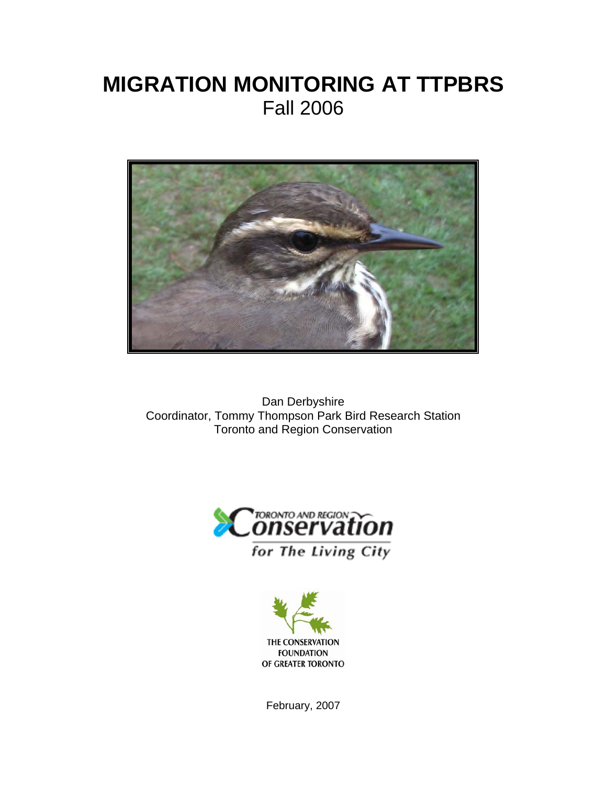# **MIGRATION MONITORING AT TTPBRS** Fall 2006



Dan Derbyshire Coordinator, Tommy Thompson Park Bird Research Station Toronto and Region Conservation





February, 2007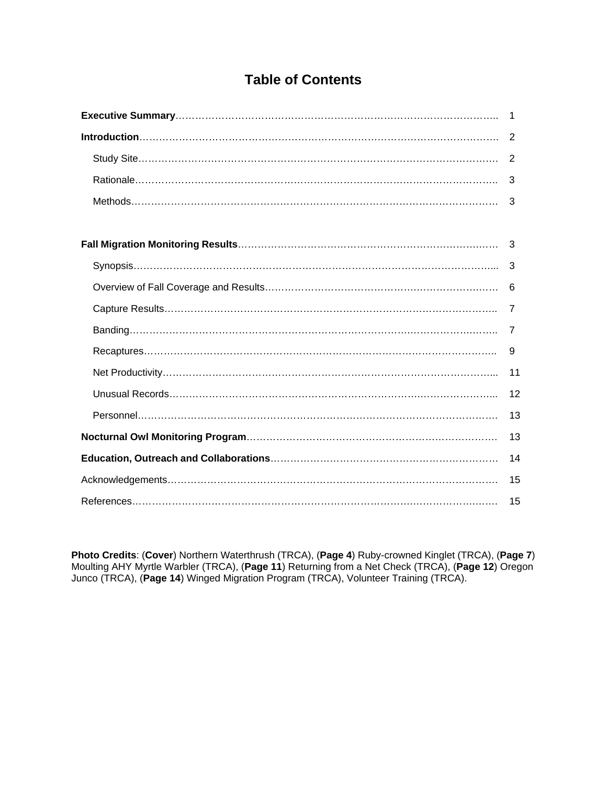### **Table of Contents**

| 2  |
|----|
|    |
| 3  |
| 3  |
|    |
|    |
| 3  |
|    |
|    |
| 7  |
| 9  |
| 11 |
| 12 |
| 13 |
| 13 |
| 14 |
| 15 |
| 15 |

**Photo Credits**: (**Cover**) Northern Waterthrush (TRCA), (**Page 4**) Ruby-crowned Kinglet (TRCA), (**Page 7**) Moulting AHY Myrtle Warbler (TRCA), (**Page 11**) Returning from a Net Check (TRCA), (**Page 12**) Oregon Junco (TRCA), (**Page 14**) Winged Migration Program (TRCA), Volunteer Training (TRCA).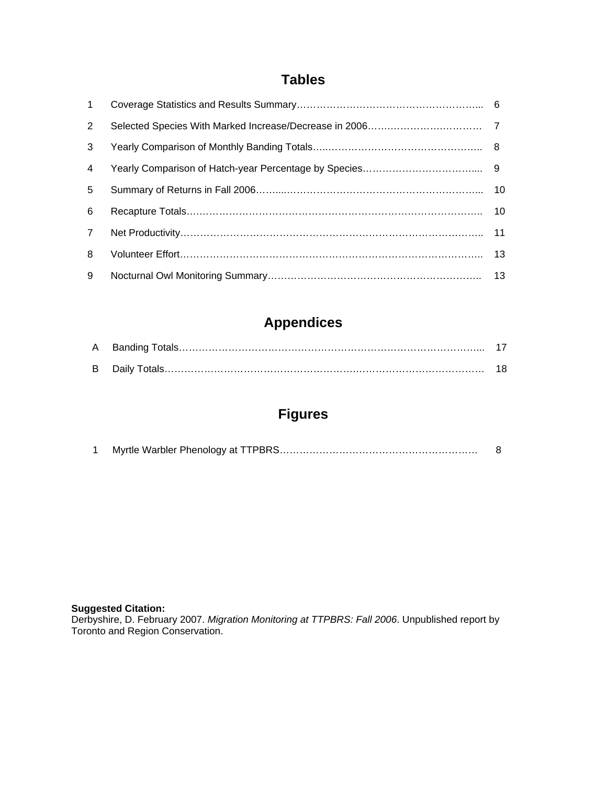### **Tables**

| $\mathbf{1}$   |  |
|----------------|--|
| 2              |  |
| 3              |  |
| 4              |  |
| 5              |  |
| 6              |  |
| $\overline{7}$ |  |
| 8              |  |
| 9              |  |

## **Appendices**

## **Figures**

#### **Suggested Citation:**

Derbyshire, D. February 2007. *Migration Monitoring at TTPBRS: Fall 2006*. Unpublished report by Toronto and Region Conservation.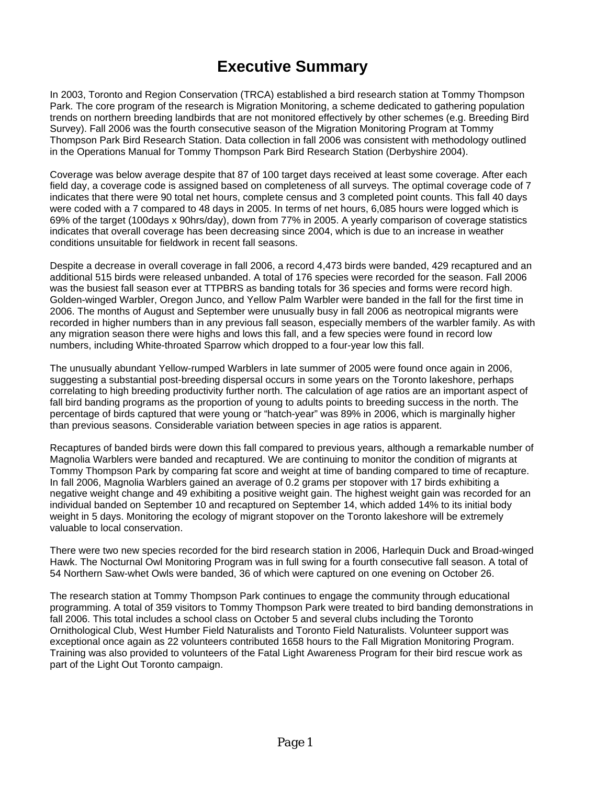## **Executive Summary**

In 2003, Toronto and Region Conservation (TRCA) established a bird research station at Tommy Thompson Park. The core program of the research is Migration Monitoring, a scheme dedicated to gathering population trends on northern breeding landbirds that are not monitored effectively by other schemes (e.g. Breeding Bird Survey). Fall 2006 was the fourth consecutive season of the Migration Monitoring Program at Tommy Thompson Park Bird Research Station. Data collection in fall 2006 was consistent with methodology outlined in the Operations Manual for Tommy Thompson Park Bird Research Station (Derbyshire 2004).

Coverage was below average despite that 87 of 100 target days received at least some coverage. After each field day, a coverage code is assigned based on completeness of all surveys. The optimal coverage code of 7 indicates that there were 90 total net hours, complete census and 3 completed point counts. This fall 40 days were coded with a 7 compared to 48 days in 2005. In terms of net hours, 6,085 hours were logged which is 69% of the target (100days x 90hrs/day), down from 77% in 2005. A yearly comparison of coverage statistics indicates that overall coverage has been decreasing since 2004, which is due to an increase in weather conditions unsuitable for fieldwork in recent fall seasons.

Despite a decrease in overall coverage in fall 2006, a record 4,473 birds were banded, 429 recaptured and an additional 515 birds were released unbanded. A total of 176 species were recorded for the season. Fall 2006 was the busiest fall season ever at TTPBRS as banding totals for 36 species and forms were record high. Golden-winged Warbler, Oregon Junco, and Yellow Palm Warbler were banded in the fall for the first time in 2006. The months of August and September were unusually busy in fall 2006 as neotropical migrants were recorded in higher numbers than in any previous fall season, especially members of the warbler family. As with any migration season there were highs and lows this fall, and a few species were found in record low numbers, including White-throated Sparrow which dropped to a four-year low this fall.

The unusually abundant Yellow-rumped Warblers in late summer of 2005 were found once again in 2006, suggesting a substantial post-breeding dispersal occurs in some years on the Toronto lakeshore, perhaps correlating to high breeding productivity further north. The calculation of age ratios are an important aspect of fall bird banding programs as the proportion of young to adults points to breeding success in the north. The percentage of birds captured that were young or "hatch-year" was 89% in 2006, which is marginally higher than previous seasons. Considerable variation between species in age ratios is apparent.

Recaptures of banded birds were down this fall compared to previous years, although a remarkable number of Magnolia Warblers were banded and recaptured. We are continuing to monitor the condition of migrants at Tommy Thompson Park by comparing fat score and weight at time of banding compared to time of recapture. In fall 2006, Magnolia Warblers gained an average of 0.2 grams per stopover with 17 birds exhibiting a negative weight change and 49 exhibiting a positive weight gain. The highest weight gain was recorded for an individual banded on September 10 and recaptured on September 14, which added 14% to its initial body weight in 5 days. Monitoring the ecology of migrant stopover on the Toronto lakeshore will be extremely valuable to local conservation.

There were two new species recorded for the bird research station in 2006, Harlequin Duck and Broad-winged Hawk. The Nocturnal Owl Monitoring Program was in full swing for a fourth consecutive fall season. A total of 54 Northern Saw-whet Owls were banded, 36 of which were captured on one evening on October 26.

The research station at Tommy Thompson Park continues to engage the community through educational programming. A total of 359 visitors to Tommy Thompson Park were treated to bird banding demonstrations in fall 2006. This total includes a school class on October 5 and several clubs including the Toronto Ornithological Club, West Humber Field Naturalists and Toronto Field Naturalists. Volunteer support was exceptional once again as 22 volunteers contributed 1658 hours to the Fall Migration Monitoring Program. Training was also provided to volunteers of the Fatal Light Awareness Program for their bird rescue work as part of the Light Out Toronto campaign.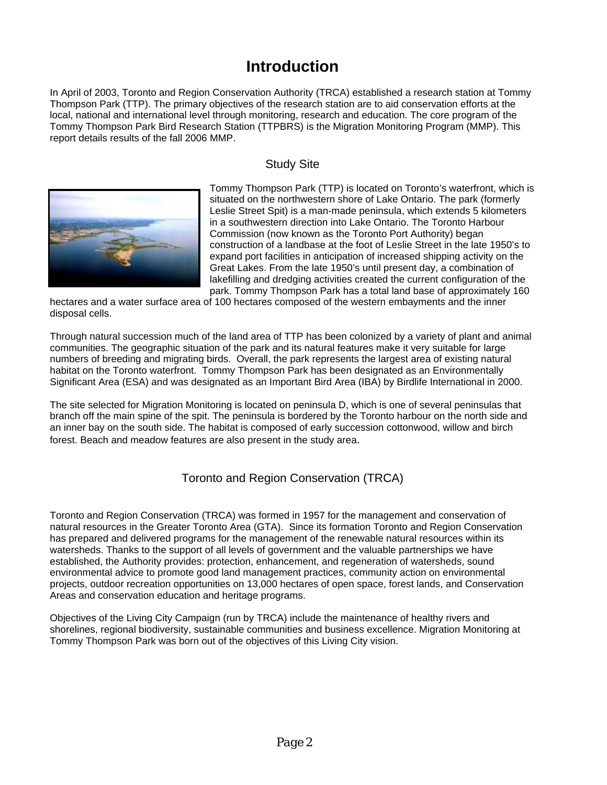## **Introduction**

In April of 2003, Toronto and Region Conservation Authority (TRCA) established a research station at Tommy Thompson Park (TTP). The primary objectives of the research station are to aid conservation efforts at the local, national and international level through monitoring, research and education. The core program of the Tommy Thompson Park Bird Research Station (TTPBRS) is the Migration Monitoring Program (MMP). This report details results of the fall 2006 MMP.

#### Study Site



Tommy Thompson Park (TTP) is located on Toronto's waterfront, which is situated on the northwestern shore of Lake Ontario. The park (formerly Leslie Street Spit) is a man-made peninsula, which extends 5 kilometers in a southwestern direction into Lake Ontario. The Toronto Harbou r Commission (now known as the Toronto Port Authority) began construction of a landbase at the foot of Leslie Street in the late 1950's to expand port facilities in anticipation of increased shipping activity on the Great Lakes. From the late 1950's until present day, a combination of lakefilling and dredging activities created the current configuration of the park. Tommy Thompson Park has a total land base of approximately 160

hectares and a water surface area of 100 hectares composed of the western embayments and the inner disposal cells.

Through natural succession much of the land area of TTP has been colonized by a variety of plant and animal communities. The geographic situation of the park and its natural features make it very suitable for large numbers of breeding and migrating birds. Overall, the park represents the largest area of existing natural habitat on the Toronto waterfront. Tommy Thompson Park has been designated as an Environmentally Significant Area (ESA) and was designated as an Important Bird Area (IBA) by Birdlife International in 2000.

The site selected for Migration Monitoring is located on peninsula D, which is one of several peninsulas that branch off the main spine of the spit. The peninsula is bordered by the Toronto harbour on the north side and an inner bay on the south side. The habitat is composed of early succession cottonwood, willow and birch forest. Beach and meadow features are also present in the study area.

#### Toronto and Region Conservation (TRCA)

Toronto and Region Conservation (TRCA) was formed in 1957 for the management and conservation of natural resources in the Greater Toronto Area (GTA). Since its formation Toronto and Region Conservation has prepared and delivered programs for the management of the renewable natural resources within its watersheds. Thanks to the support of all levels of government and the valuable partnerships we have established, the Authority provides: protection, enhancement, and regeneration of watersheds, sound environmental advice to promote good land management practices, community action on environmental projects, outdoor recreation opportunities on 13,000 hectares of open space, forest lands, and Conservation Areas and conservation education and heritage programs.

Objectives of the Living City Campaign (run by TRCA) include the maintenance of healthy rivers and shorelines, regional biodiversity, sustainable communities and business excellence. Migration Monitoring at Tommy Thompson Park was born out of the objectives of this Living City vision.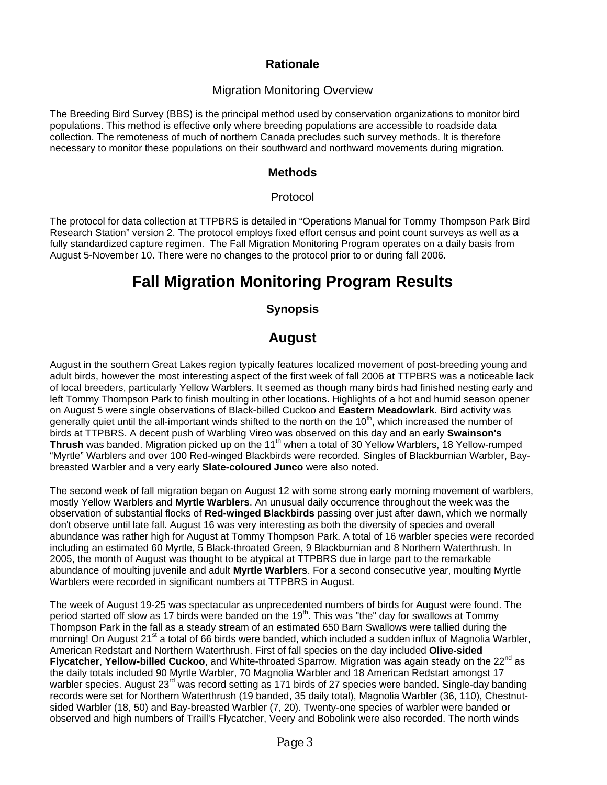#### **Rationale**

#### Migration Monitoring Overview

The Breeding Bird Survey (BBS) is the principal method used by conservation organizations to monitor bird populations. This method is effective only where breeding populations are accessible to roadside data collection. The remoteness of much of northern Canada precludes such survey methods. It is therefore necessary to monitor these populations on their southward and northward movements during migration.

#### **Methods**

#### Protocol

The protocol for data collection at TTPBRS is detailed in "Operations Manual for Tommy Thompson Park Bird Research Station" version 2. The protocol employs fixed effort census and point count surveys as well as a fully standardized capture regimen. The Fall Migration Monitoring Program operates on a daily basis from August 5-November 10. There were no changes to the protocol prior to or during fall 2006.

## **Fall Migration Monitoring Program Results**

#### **Synopsis**

### **August**

August in the southern Great Lakes region typically features localized movement of post-breeding young and adult birds, however the most interesting aspect of the first week of fall 2006 at TTPBRS was a noticeable lack of local breeders, particularly Yellow Warblers. It seemed as though many birds had finished nesting early and left Tommy Thompson Park to finish moulting in other locations. Highlights of a hot and humid season opener on August 5 were single observations of Black-billed Cuckoo and **Eastern Meadowlark**. Bird activity was generally quiet until the all-important winds shifted to the north on the  $10<sup>th</sup>$ , which increased the number of birds at TTPBRS. A decent push of Warbling Vireo was observed on this day and an early **Swainson's Thrush** was banded. Migration picked up on the 11<sup>th</sup> when a total of 30 Yellow Warblers, 18 Yellow-rumped "Myrtle" Warblers and over 100 Red-winged Blackbirds were recorded. Singles of Blackburnian Warbler, Baybreasted Warbler and a very early **Slate-coloured Junco** were also noted.

The second week of fall migration began on August 12 with some strong early morning movement of warblers, mostly Yellow Warblers and **Myrtle Warblers**. An unusual daily occurrence throughout the week was the observation of substantial flocks of **Red-winged Blackbirds** passing over just after dawn, which we normally don't observe until late fall. August 16 was very interesting as both the diversity of species and overall abundance was rather high for August at Tommy Thompson Park. A total of 16 warbler species were recorded including an estimated 60 Myrtle, 5 Black-throated Green, 9 Blackburnian and 8 Northern Waterthrush. In 2005, the month of August was thought to be atypical at TTPBRS due in large part to the remarkable abundance of moulting juvenile and adult **Myrtle Warblers**. For a second consecutive year, moulting Myrtle Warblers were recorded in significant numbers at TTPBRS in August.

The week of August 19-25 was spectacular as unprecedented numbers of birds for August were found. The period started off slow as 17 birds were banded on the  $19<sup>th</sup>$ . This was "the" day for swallows at Tommy Thompson Park in the fall as a steady stream of an estimated 650 Barn Swallows were tallied during the morning! On August 21<sup>st</sup> a total of 66 birds were banded, which included a sudden influx of Magnolia Warbler, American Redstart and Northern Waterthrush. First of fall species on the day included **Olive-sided**  Flycatcher, Yellow-billed Cuckoo, and White-throated Sparrow. Migration was again steady on the 22<sup>nd</sup> as the daily totals included 90 Myrtle Warbler, 70 Magnolia Warbler and 18 American Redstart amongst 17 warbler species. August 23<sup>rd</sup> was record setting as 171 birds of 27 species were banded. Single-day banding records were set for Northern Waterthrush (19 banded, 35 daily total), Magnolia Warbler (36, 110), Chestnutsided Warbler (18, 50) and Bay-breasted Warbler (7, 20). Twenty-one species of warbler were banded or observed and high numbers of Traill's Flycatcher, Veery and Bobolink were also recorded. The north winds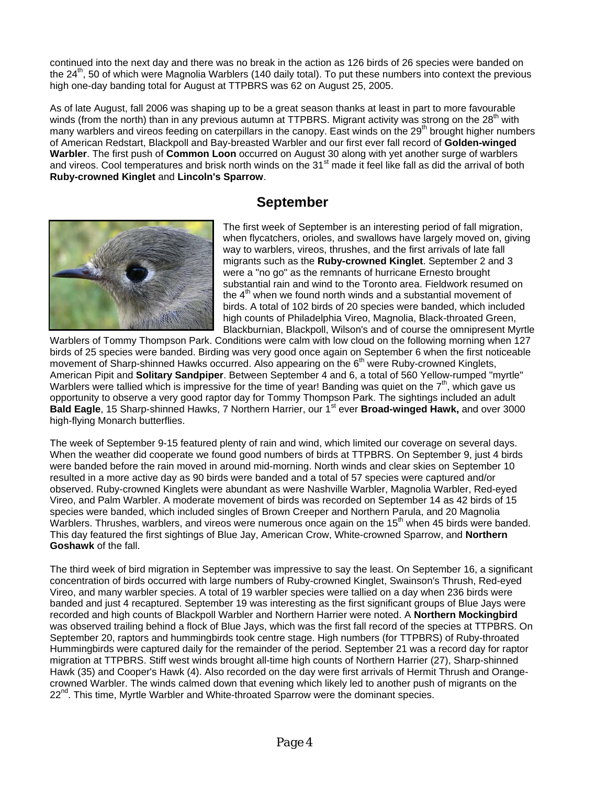continued into the next day and there was no break in the action as 126 birds of 26 species were banded on the 24<sup>th</sup>, 50 of which were Magnolia Warblers (140 daily total). To put these numbers into context the previous high one-day banding total for August at TTPBRS was 62 on August 25, 2005.

As of late August, fall 2006 was shaping up to be a great season thanks at least in part to more favourable winds (from the north) than in any previous autumn at TTPBRS. Migrant activity was strong on the 28<sup>th</sup> with many warblers and vireos feeding on caterpillars in the canopy. East winds on the 29<sup>th</sup> brought higher numbers of American Redstart, Blackpoll and Bay-breasted Warbler and our first ever fall record of **Golden-winged Warbler**. The first push of **Common Loon** occurred on August 30 along with yet another surge of warblers and vireos. Cool temperatures and brisk north winds on the 31<sup>st</sup> made it feel like fall as did the arrival of both **Ruby-crowned Kinglet** and **Lincoln's Sparrow**.

### **September**



The first week of September is an interesting period of fall migration, when flycatchers, orioles, and swallows have largely moved on, giving way to warblers, vireos, thrushes, and the first arrivals of late fall migrants such as the **Ruby-crowned Kinglet**. September 2 and 3 were a "no go" as the remnants of hurricane Ernesto brought substantial rain and wind to the Toronto area. Fieldwork resumed on the  $4<sup>th</sup>$  when we found north winds and a substantial movement of birds. A total of 102 birds of 20 species were banded, which included high counts of Philadelphia Vireo, Magnolia, Black-throated Green, Blackburnian, Blackpoll, Wilson's and of course the omnipresent Myrtle

Warblers of Tommy Thompson Park. Conditions were calm with low cloud on the following morning when 127 birds of 25 species were banded. Birding was very good once again on September 6 when the first noticeable movement of Sharp-shinned Hawks occurred. Also appearing on the 6<sup>th</sup> were Ruby-crowned Kinglets, American Pipit and **Solitary Sandpiper**. Between September 4 and 6, a total of 560 Yellow-rumped "myrtle" Warblers were tallied which is impressive for the time of year! Banding was quiet on the  $7<sup>th</sup>$ , which gave us opportunity to observe a very good raptor day for Tommy Thompson Park. The sightings included an adult Bald Eagle, 15 Sharp-shinned Hawks, 7 Northern Harrier, our 1<sup>st</sup> ever Broad-winged Hawk, and over 3000 high-flying Monarch butterflies.

The week of September 9-15 featured plenty of rain and wind, which limited our coverage on several days. When the weather did cooperate we found good numbers of birds at TTPBRS. On September 9, just 4 birds were banded before the rain moved in around mid-morning. North winds and clear skies on September 10 resulted in a more active day as 90 birds were banded and a total of 57 species were captured and/or observed. Ruby-crowned Kinglets were abundant as were Nashville Warbler, Magnolia Warbler, Red-eyed Vireo, and Palm Warbler. A moderate movement of birds was recorded on September 14 as 42 birds of 15 species were banded, which included singles of Brown Creeper and Northern Parula, and 20 Magnolia Warblers. Thrushes, warblers, and vireos were numerous once again on the 15<sup>th</sup> when 45 birds were banded. This day featured the first sightings of Blue Jay, American Crow, White-crowned Sparrow, and **Northern Goshawk** of the fall.

The third week of bird migration in September was impressive to say the least. On September 16, a significant concentration of birds occurred with large numbers of Ruby-crowned Kinglet, Swainson's Thrush, Red-eyed Vireo, and many warbler species. A total of 19 warbler species were tallied on a day when 236 birds were banded and just 4 recaptured. September 19 was interesting as the first significant groups of Blue Jays were recorded and high counts of Blackpoll Warbler and Northern Harrier were noted. A **Northern Mockingbird** was observed trailing behind a flock of Blue Jays, which was the first fall record of the species at TTPBRS. On September 20, raptors and hummingbirds took centre stage. High numbers (for TTPBRS) of Ruby-throated Hummingbirds were captured daily for the remainder of the period. September 21 was a record day for raptor migration at TTPBRS. Stiff west winds brought all-time high counts of Northern Harrier (27), Sharp-shinned Hawk (35) and Cooper's Hawk (4). Also recorded on the day were first arrivals of Hermit Thrush and Orangecrowned Warbler. The winds calmed down that evening which likely led to another push of migrants on the  $22<sup>nd</sup>$ . This time, Myrtle Warbler and White-throated Sparrow were the dominant species.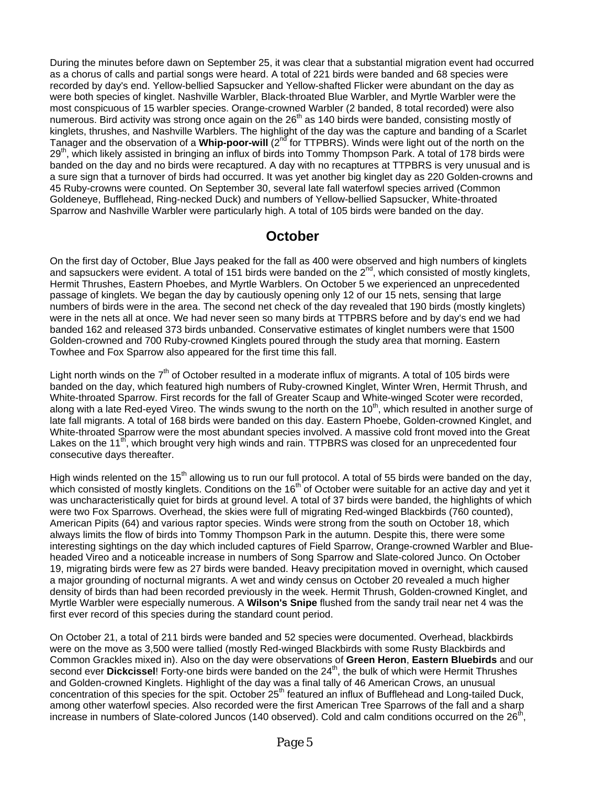During the minutes before dawn on September 25, it was clear that a substantial migration event had occurred as a chorus of calls and partial songs were heard. A total of 221 birds were banded and 68 species were recorded by day's end. Yellow-bellied Sapsucker and Yellow-shafted Flicker were abundant on the day as were both species of kinglet. Nashville Warbler, Black-throated Blue Warbler, and Myrtle Warbler were the most conspicuous of 15 warbler species. Orange-crowned Warbler (2 banded, 8 total recorded) were also numerous. Bird activity was strong once again on the  $26<sup>th</sup>$  as 140 birds were banded, consisting mostly of kinglets, thrushes, and Nashville Warblers. The highlight of the day was the capture and banding of a Scarlet Tanager and the observation of a **Whip-poor-will** (2nd for TTPBRS). Winds were light out of the north on the 29<sup>th</sup>, which likely assisted in bringing an influx of birds into Tommy Thompson Park. A total of 178 birds were banded on the day and no birds were recaptured. A day with no recaptures at TTPBRS is very unusual and is a sure sign that a turnover of birds had occurred. It was yet another big kinglet day as 220 Golden-crowns and 45 Ruby-crowns were counted. On September 30, several late fall waterfowl species arrived (Common Goldeneye, Bufflehead, Ring-necked Duck) and numbers of Yellow-bellied Sapsucker, White-throated Sparrow and Nashville Warbler were particularly high. A total of 105 birds were banded on the day.

### **October**

On the first day of October, Blue Jays peaked for the fall as 400 were observed and high numbers of kinglets and sapsuckers were evident. A total of 151 birds were banded on the  $2^{nd}$ , which consisted of mostly kinglets, Hermit Thrushes, Eastern Phoebes, and Myrtle Warblers. On October 5 we experienced an unprecedented passage of kinglets. We began the day by cautiously opening only 12 of our 15 nets, sensing that large numbers of birds were in the area. The second net check of the day revealed that 190 birds (mostly kinglets) were in the nets all at once. We had never seen so many birds at TTPBRS before and by day's end we had banded 162 and released 373 birds unbanded. Conservative estimates of kinglet numbers were that 1500 Golden-crowned and 700 Ruby-crowned Kinglets poured through the study area that morning. Eastern Towhee and Fox Sparrow also appeared for the first time this fall.

Light north winds on the 7<sup>th</sup> of October resulted in a moderate influx of migrants. A total of 105 birds were banded on the day, which featured high numbers of Ruby-crowned Kinglet, Winter Wren, Hermit Thrush, and White-throated Sparrow. First records for the fall of Greater Scaup and White-winged Scoter were recorded, along with a late Red-eyed Vireo. The winds swung to the north on the 10<sup>th</sup>, which resulted in another surge of late fall migrants. A total of 168 birds were banded on this day. Eastern Phoebe, Golden-crowned Kinglet, and White-throated Sparrow were the most abundant species involved. A massive cold front moved into the Great Lakes on the 11<sup>th</sup>, which brought very high winds and rain. TTPBRS was closed for an unprecedented four consecutive days thereafter.

High winds relented on the 15<sup>th</sup> allowing us to run our full protocol. A total of 55 birds were banded on the day, which consisted of mostly kinglets. Conditions on the 16<sup>th</sup> of October were suitable for an active day and yet it was uncharacteristically quiet for birds at ground level. A total of 37 birds were banded, the highlights of which were two Fox Sparrows. Overhead, the skies were full of migrating Red-winged Blackbirds (760 counted), American Pipits (64) and various raptor species. Winds were strong from the south on October 18, which always limits the flow of birds into Tommy Thompson Park in the autumn. Despite this, there were some interesting sightings on the day which included captures of Field Sparrow, Orange-crowned Warbler and Blueheaded Vireo and a noticeable increase in numbers of Song Sparrow and Slate-colored Junco. On October 19, migrating birds were few as 27 birds were banded. Heavy precipitation moved in overnight, which caused a major grounding of nocturnal migrants. A wet and windy census on October 20 revealed a much higher density of birds than had been recorded previously in the week. Hermit Thrush, Golden-crowned Kinglet, and Myrtle Warbler were especially numerous. A **Wilson's Snipe** flushed from the sandy trail near net 4 was the first ever record of this species during the standard count period.

On October 21, a total of 211 birds were banded and 52 species were documented. Overhead, blackbirds were on the move as 3,500 were tallied (mostly Red-winged Blackbirds with some Rusty Blackbirds and Common Grackles mixed in). Also on the day were observations of **Green Heron**, **Eastern Bluebirds** and our second ever **Dickcissel**! Forty-one birds were banded on the 24<sup>th</sup>, the bulk of which were Hermit Thrushes and Golden-crowned Kinglets. Highlight of the day was a final tally of 46 American Crows, an unusual concentration of this species for the spit. October 25<sup>th</sup> featured an influx of Bufflehead and Long-tailed Duck, among other waterfowl species. Also recorded were the first American Tree Sparrows of the fall and a sharp increase in numbers of Slate-colored Juncos (140 observed). Cold and calm conditions occurred on the  $26<sup>th</sup>$ .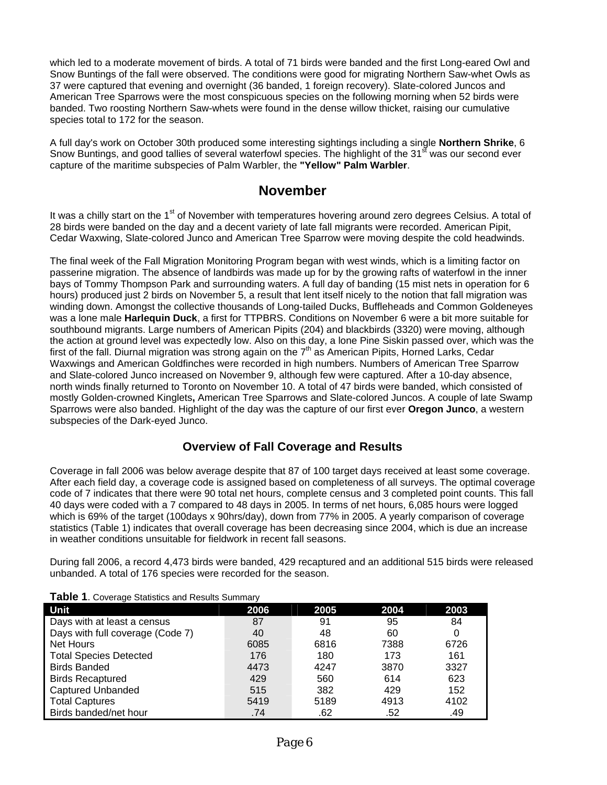which led to a moderate movement of birds. A total of 71 birds were banded and the first Long-eared Owl and Snow Buntings of the fall were observed. The conditions were good for migrating Northern Saw-whet Owls as 37 were captured that evening and overnight (36 banded, 1 foreign recovery). Slate-colored Juncos and American Tree Sparrows were the most conspicuous species on the following morning when 52 birds were banded. Two roosting Northern Saw-whets were found in the dense willow thicket, raising our cumulative species total to 172 for the season.

A full day's work on October 30th produced some interesting sightings including a single **Northern Shrike**, 6 Snow Buntings, and good tallies of several waterfowl species. The highlight of the 31<sup>st</sup> was our second ever capture of the maritime subspecies of Palm Warbler, the **"Yellow" Palm Warbler**.

### **November**

It was a chilly start on the 1<sup>st</sup> of November with temperatures hovering around zero degrees Celsius. A total of 28 birds were banded on the day and a decent variety of late fall migrants were recorded. American Pipit, Cedar Waxwing, Slate-colored Junco and American Tree Sparrow were moving despite the cold headwinds.

The final week of the Fall Migration Monitoring Program began with west winds, which is a limiting factor on passerine migration. The absence of landbirds was made up for by the growing rafts of waterfowl in the inner bays of Tommy Thompson Park and surrounding waters. A full day of banding (15 mist nets in operation for 6 hours) produced just 2 birds on November 5, a result that lent itself nicely to the notion that fall migration was winding down. Amongst the collective thousands of Long-tailed Ducks, Buffleheads and Common Goldeneyes was a lone male **Harlequin Duck**, a first for TTPBRS. Conditions on November 6 were a bit more suitable for southbound migrants. Large numbers of American Pipits (204) and blackbirds (3320) were moving, although the action at ground level was expectedly low. Also on this day, a lone Pine Siskin passed over, which was the first of the fall. Diurnal migration was strong again on the  $7<sup>th</sup>$  as American Pipits, Horned Larks, Cedar Waxwings and American Goldfinches were recorded in high numbers. Numbers of American Tree Sparrow and Slate-colored Junco increased on November 9, although few were captured. After a 10-day absence, north winds finally returned to Toronto on November 10. A total of 47 birds were banded, which consisted of mostly Golden-crowned Kinglets**,** American Tree Sparrows and Slate-colored Juncos. A couple of late Swamp Sparrows were also banded. Highlight of the day was the capture of our first ever **Oregon Junco**, a western subspecies of the Dark-eyed Junco.

#### **Overview of Fall Coverage and Results**

Coverage in fall 2006 was below average despite that 87 of 100 target days received at least some coverage. After each field day, a coverage code is assigned based on completeness of all surveys. The optimal coverage code of 7 indicates that there were 90 total net hours, complete census and 3 completed point counts. This fall 40 days were coded with a 7 compared to 48 days in 2005. In terms of net hours, 6,085 hours were logged which is 69% of the target (100days x 90hrs/day), down from 77% in 2005. A yearly comparison of coverage statistics (Table 1) indicates that overall coverage has been decreasing since 2004, which is due an increase in weather conditions unsuitable for fieldwork in recent fall seasons.

During fall 2006, a record 4,473 birds were banded, 429 recaptured and an additional 515 birds were released unbanded. A total of 176 species were recorded for the season.

|  |  | Table 1. Coverage Statistics and Results Summary |
|--|--|--------------------------------------------------|
|--|--|--------------------------------------------------|

| Unit                             | 2006 | 2005 | 2004 | 2003 |
|----------------------------------|------|------|------|------|
| Days with at least a census      | 87   | 91   | 95   | 84   |
| Days with full coverage (Code 7) | 40   | 48   | 60   |      |
| Net Hours                        | 6085 | 6816 | 7388 | 6726 |
| <b>Total Species Detected</b>    | 176  | 180  | 173  | 161  |
| <b>Birds Banded</b>              | 4473 | 4247 | 3870 | 3327 |
| <b>Birds Recaptured</b>          | 429  | 560  | 614  | 623  |
| <b>Captured Unbanded</b>         | 515  | 382  | 429  | 152  |
| <b>Total Captures</b>            | 5419 | 5189 | 4913 | 4102 |
| Birds banded/net hour            | .74  | .62  | .52  | .49  |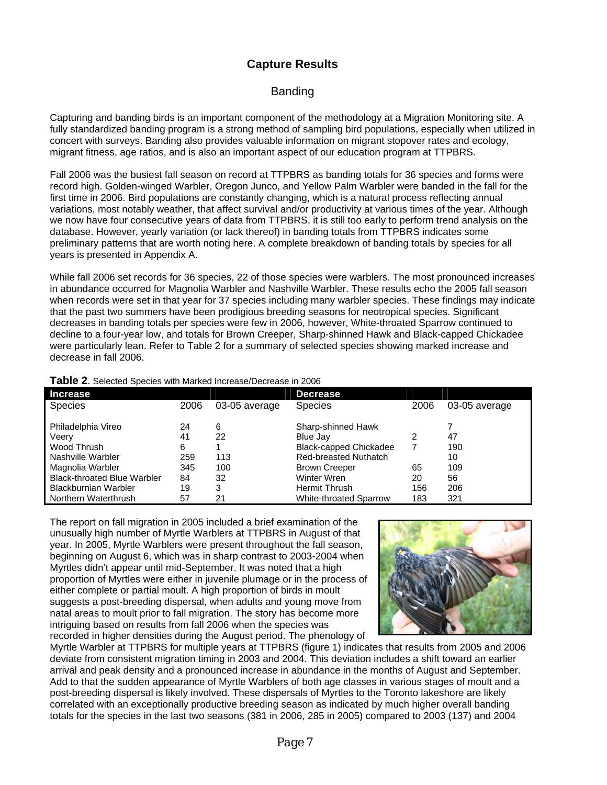### **Capture Results**

#### Banding

Capturing and banding birds is an important component of the methodology at a Migration Monitoring site. A fully standardized banding program is a strong method of sampling bird populations, especially when utilized in concert with surveys. Banding also provides valuable information on migrant stopover rates and ecology, migrant fitness, age ratios, and is also an important aspect of our education program at TTPBRS.

Fall 2006 was the busiest fall season on record at TTPBRS as banding totals for 36 species and forms were record high. Golden-winged Warbler, Oregon Junco, and Yellow Palm Warbler were banded in the fall for the first time in 2006. Bird populations are constantly changing, which is a natural process reflecting annual variations, most notably weather, that affect survival and/or productivity at various times of the year. Although we now have four consecutive years of data from TTPBRS, it is still too early to perform trend analysis on the database. However, yearly variation (or lack thereof) in banding totals from TTPBRS indicates some preliminary patterns that are worth noting here. A complete breakdown of banding totals by species for all years is presented in Appendix A.

While fall 2006 set records for 36 species, 22 of those species were warblers. The most pronounced increases in abundance occurred for Magnolia Warbler and Nashville Warbler. These results echo the 2005 fall season when records were set in that year for 37 species including many warbler species. These findings may indicate that the past two summers have been prodigious breeding seasons for neotropical species. Significant decreases in banding totals per species were few in 2006, however, White-throated Sparrow continued to decline to a four-year low, and totals for Brown Creeper, Sharp-shinned Hawk and Black-capped Chickadee were particularly lean. Refer to Table 2 for a summary of selected species showing marked increase and decrease in fall 2006.

| Increase                           |      |               | <b>Decrease</b>               |      |               |
|------------------------------------|------|---------------|-------------------------------|------|---------------|
| <b>Species</b>                     | 2006 | 03-05 average | <b>Species</b>                | 2006 | 03-05 average |
|                                    |      |               |                               |      |               |
| Philadelphia Vireo                 | 24   | 6             | Sharp-shinned Hawk            |      |               |
| Veery                              | 41   | 22            | Blue Jay                      |      | 47            |
| Wood Thrush                        | 6    |               | <b>Black-capped Chickadee</b> |      | 190           |
| Nashville Warbler                  | 259  | 113           | Red-breasted Nuthatch         |      | 10            |
| Magnolia Warbler                   | 345  | 100           | <b>Brown Creeper</b>          | 65   | 109           |
| <b>Black-throated Blue Warbler</b> | 84   | 32            | Winter Wren                   | 20   | 56            |
| <b>Blackburnian Warbler</b>        | 19   | 3             | <b>Hermit Thrush</b>          | 156  | 206           |
| Northern Waterthrush               | 57   | 21            | <b>White-throated Sparrow</b> | 183  | 321           |

**Table 2**. Selected Species with Marked Increase/Decrease in 2006

The report on fall migration in 2005 included a brief examination of the unusually high number of Myrtle Warblers at TTPBRS in August of that year. In 2005, Myrtle Warblers were present throughout the fall season, beginning on August 6, which was in sharp contrast to 2003-2004 when Myrtles didn't appear until mid-September. It was noted that a high proportion of Myrtles were either in juvenile plumage or in the process of either complete or partial moult. A high proportion of birds in moult suggests a post-breeding dispersal, when adults and young move from natal areas to moult prior to fall migration. The story has become more intriguing based on results from fall 2006 when the species was recorded in higher densities during the August period. The phenology of



Myrtle Warbler at TTPBRS for multiple years at TTPBRS (figure 1) indicates that results from 2005 and 2006 deviate from consistent migration timing in 2003 and 2004. This deviation includes a shift toward an earlier arrival and peak density and a pronounced increase in abundance in the months of August and September. Add to that the sudden appearance of Myrtle Warblers of both age classes in various stages of moult and a post-breeding dispersal is likely involved. These dispersals of Myrtles to the Toronto lakeshore are likely correlated with an exceptionally productive breeding season as indicated by much higher overall banding totals for the species in the last two seasons (381 in 2006, 285 in 2005) compared to 2003 (137) and 2004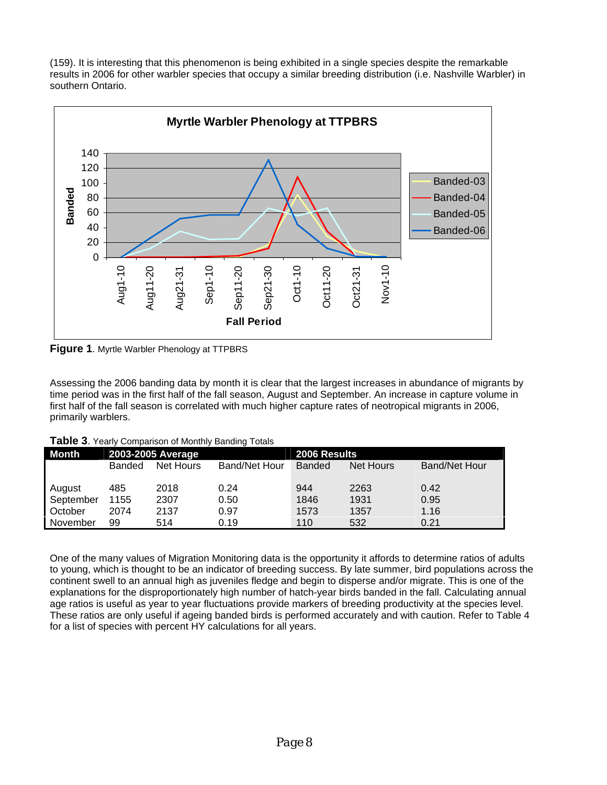(159). It is interesting that this phenomenon is being exhibited in a single species despite the remarkable results in 2006 for other warbler species that occupy a similar breeding distribution (i.e. Nashville Warbler) in southern Ontario.



**Figure 1**. Myrtle Warbler Phenology at TTPBRS

time period was in the first half of the fall season, August and September. An increase in capture volume in first half of the fall season is correlated with much higher capture rates of neotropical migrants in 2006, primarily warblers. Assessing the 2006 banding data by month it is clear that the largest increases in abundance of migrants by

| Table 3. Yearly Comparison of Monthly Banding Totals |  |
|------------------------------------------------------|--|
|------------------------------------------------------|--|

| <b>Month</b> |        | 2003-2005 Average |                      | 2006 Results  |           |                      |  |  |  |
|--------------|--------|-------------------|----------------------|---------------|-----------|----------------------|--|--|--|
|              | Banded | Net Hours         | <b>Band/Net Hour</b> | <b>Banded</b> | Net Hours | <b>Band/Net Hour</b> |  |  |  |
|              |        |                   |                      |               |           |                      |  |  |  |
| August       | 485    | 2018              | 0.24                 | 944           | 2263      | 0.42                 |  |  |  |
| September    | 1155   | 2307              | 0.50                 | 1846          | 1931      | 0.95                 |  |  |  |
| October      | 2074   | 2137              | 0.97                 | 1573          | 1357      | 1.16                 |  |  |  |
| November     | 99     | 514               | 0.19                 | 110           | 532       | 0.21                 |  |  |  |

One of the many values of Migration Monitoring data is the opportunity it affords to determine ratios of adults to young, which is thought to be an indicator of breeding success. By late summer, bird populations across the continent swell to an annual high as juveniles fledge and begin to disperse and/or migrate. This is one of the explanations for the disproportionately high number of hatch-year birds banded in the fall. Calculating annual age ratios is useful as year to year fluctuations provide markers of breeding productivity at the species level. These ratios are only useful if ageing banded birds is performed accurately and with caution. Refer to Table 4 for a list of species with percent HY calculations for all years.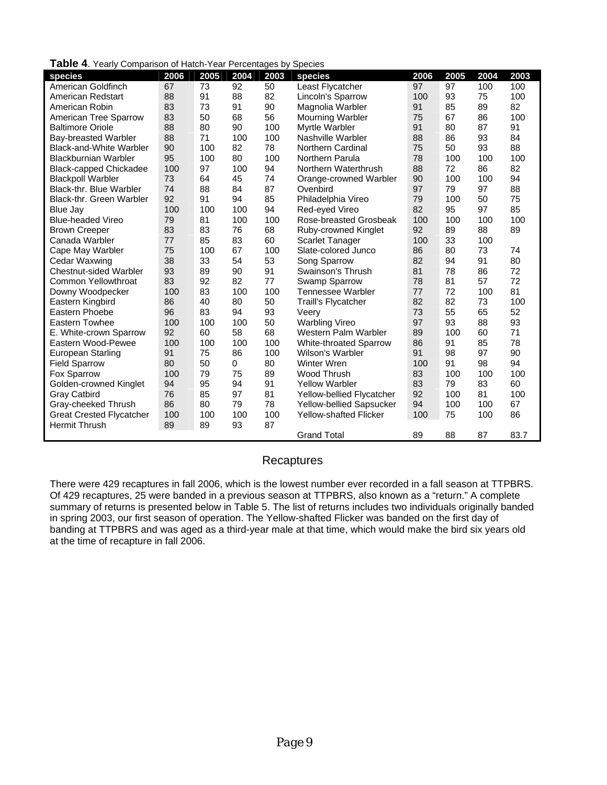|  |  |  | Table 4. Yearly Comparison of Hatch-Year Percentages by Species |  |  |
|--|--|--|-----------------------------------------------------------------|--|--|
|--|--|--|-----------------------------------------------------------------|--|--|

| <b>I UNIV T. I VAII</b> Y<br>Companion of Hatch Tear Fereentages by Openics |      |      |      |      |                               |      |      |      |      |
|-----------------------------------------------------------------------------|------|------|------|------|-------------------------------|------|------|------|------|
| species                                                                     | 2006 | 2005 | 2004 | 2003 | species                       | 2006 | 2005 | 2004 | 2003 |
| American Goldfinch                                                          | 67   | 73   | 92   | 50   | Least Flycatcher              | 97   | 97   | 100  | 100  |
| American Redstart                                                           | 88   | 91   | 88   | 82   | Lincoln's Sparrow             | 100  | 93   | 75   | 100  |
| American Robin                                                              | 83   | 73   | 91   | 90   | Magnolia Warbler              | 91   | 85   | 89   | 82   |
| American Tree Sparrow                                                       | 83   | 50   | 68   | 56   | <b>Mourning Warbler</b>       | 75   | 67   | 86   | 100  |
| <b>Baltimore Oriole</b>                                                     | 88   | 80   | 90   | 100  | Myrtle Warbler                | 91   | 80   | 87   | 91   |
| Bay-breasted Warbler                                                        | 88   | 71   | 100  | 100  | Nashville Warbler             | 88   | 86   | 93   | 84   |
| Black-and-White Warbler                                                     | 90   | 100  | 82   | 78   | <b>Northern Cardinal</b>      | 75   | 50   | 93   | 88   |
| <b>Blackburnian Warbler</b>                                                 | 95   | 100  | 80   | 100  | Northern Parula               | 78   | 100  | 100  | 100  |
| <b>Black-capped Chickadee</b>                                               | 100  | 97   | 100  | 94   | Northern Waterthrush          | 88   | 72   | 86   | 82   |
| <b>Blackpoll Warbler</b>                                                    | 73   | 64   | 45   | 74   | Orange-crowned Warbler        | 90   | 100  | 100  | 94   |
| Black-thr. Blue Warbler                                                     | 74   | 88   | 84   | 87   | Ovenbird                      | 97   | 79   | 97   | 88   |
| <b>Black-thr. Green Warbler</b>                                             | 92   | 91   | 94   | 85   | Philadelphia Vireo            | 79   | 100  | 50   | 75   |
| Blue Jay                                                                    | 100  | 100  | 100  | 94   | Red-eyed Vireo                | 82   | 95   | 97   | 85   |
| <b>Blue-headed Vireo</b>                                                    | 79   | 81   | 100  | 100  | Rose-breasted Grosbeak        | 100  | 100  | 100  | 100  |
| <b>Brown Creeper</b>                                                        | 83   | 83   | 76   | 68   | Ruby-crowned Kinglet          | 92   | 89   | 88   | 89   |
| Canada Warbler                                                              | 77   | 85   | 83   | 60   | <b>Scarlet Tanager</b>        | 100  | 33   | 100  |      |
| Cape May Warbler                                                            | 75   | 100  | 67   | 100  | Slate-colored Junco           | 86   | 80   | 73   | 74   |
| Cedar Waxwing                                                               | 38   | 33   | 54   | 53   | Song Sparrow                  | 82   | 94   | 91   | 80   |
| <b>Chestnut-sided Warbler</b>                                               | 93   | 89   | 90   | 91   | Swainson's Thrush             | 81   | 78   | 86   | 72   |
| <b>Common Yellowthroat</b>                                                  | 83   | 92   | 82   | 77   | Swamp Sparrow                 | 78   | 81   | 57   | 72   |
| Downy Woodpecker                                                            | 100  | 83   | 100  | 100  | Tennessee Warbler             | 77   | 72   | 100  | 81   |
| Eastern Kingbird                                                            | 86   | 40   | 80   | 50   | <b>Traill's Flycatcher</b>    | 82   | 82   | 73   | 100  |
| Eastern Phoebe                                                              | 96   | 83   | 94   | 93   | Veery                         | 73   | 55   | 65   | 52   |
| Eastern Towhee                                                              | 100  | 100  | 100  | 50   | <b>Warbling Vireo</b>         | 97   | 93   | 88   | 93   |
| E. White-crown Sparrow                                                      | 92   | 60   | 58   | 68   | Western Palm Warbler          | 89   | 100  | 60   | 71   |
| Eastern Wood-Pewee                                                          | 100  | 100  | 100  | 100  | <b>White-throated Sparrow</b> | 86   | 91   | 85   | 78   |
| European Starling                                                           | 91   | 75   | 86   | 100  | Wilson's Warbler              | 91   | 98   | 97   | 90   |
| <b>Field Sparrow</b>                                                        | 80   | 50   | 0    | 80   | Winter Wren                   | 100  | 91   | 98   | 94   |
| Fox Sparrow                                                                 | 100  | 79   | 75   | 89   | <b>Wood Thrush</b>            | 83   | 100  | 100  | 100  |
| Golden-crowned Kinglet                                                      | 94   | 95   | 94   | 91   | <b>Yellow Warbler</b>         | 83   | 79   | 83   | 60   |
| <b>Gray Catbird</b>                                                         | 76   | 85   | 97   | 81   | Yellow-bellied Flycatcher     | 92   | 100  | 81   | 100  |
| Gray-cheeked Thrush                                                         | 86   | 80   | 79   | 78   | Yellow-bellied Sapsucker      | 94   | 100  | 100  | 67   |
| <b>Great Crested Flycatcher</b>                                             | 100  | 100  | 100  | 100  | <b>Yellow-shafted Flicker</b> | 100  | 75   | 100  | 86   |
| <b>Hermit Thrush</b>                                                        | 89   | 89   | 93   | 87   |                               |      |      |      |      |
|                                                                             |      |      |      |      | <b>Grand Total</b>            | 89   | 88   | 87   | 83.7 |

#### **Recaptures**

. There were 429 recaptures in fall 2006, which is the lowest number ever recorded in a fall season at TTPBRS summary of returns is presented below in Table 5. The list of returns includes two individuals originally banded banding at TTPBRS and was aged as a third-year male at that time, which would make the bird six years old at the time of recapture in fall 2006. Of 429 recaptures, 25 were banded in a previous season at TTPBRS, also known as a "return." A complete in spring 2003, our first season of operation. The Yellow-shafted Flicker was banded on the first day of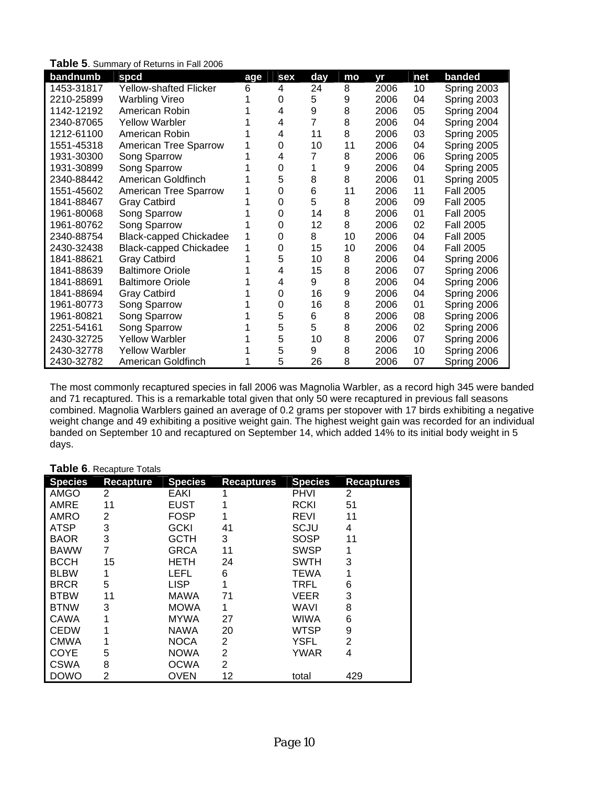| bandnumb   | spcd                          | age | sex | day | mo | vr   | net | banded           |
|------------|-------------------------------|-----|-----|-----|----|------|-----|------------------|
| 1453-31817 | <b>Yellow-shafted Flicker</b> | 6   | 4   | 24  | 8  | 2006 | 10  | Spring 2003      |
| 2210-25899 | <b>Warbling Vireo</b>         |     | 0   | 5   | 9  | 2006 | 04  | Spring 2003      |
| 1142-12192 | American Robin                |     | 4   | 9   | 8  | 2006 | 05  | Spring 2004      |
| 2340-87065 | <b>Yellow Warbler</b>         |     | 4   | 7   | 8  | 2006 | 04  | Spring 2004      |
| 1212-61100 | American Robin                |     | 4   | 11  | 8  | 2006 | 03  | Spring 2005      |
| 1551-45318 | <b>American Tree Sparrow</b>  |     | 0   | 10  | 11 | 2006 | 04  | Spring 2005      |
| 1931-30300 | Song Sparrow                  |     | 4   |     | 8  | 2006 | 06  | Spring 2005      |
| 1931-30899 | Song Sparrow                  |     | 0   |     | 9  | 2006 | 04  | Spring 2005      |
| 2340-88442 | American Goldfinch            |     | 5   | 8   | 8  | 2006 | 01  | Spring 2005      |
| 1551-45602 | American Tree Sparrow         |     | 0   | 6   | 11 | 2006 | 11  | <b>Fall 2005</b> |
| 1841-88467 | <b>Gray Catbird</b>           |     | 0   | 5   | 8  | 2006 | 09  | <b>Fall 2005</b> |
| 1961-80068 | Song Sparrow                  |     | 0   | 14  | 8  | 2006 | 01  | <b>Fall 2005</b> |
| 1961-80762 | Song Sparrow                  |     | 0   | 12  | 8  | 2006 | 02  | <b>Fall 2005</b> |
| 2340-88754 | <b>Black-capped Chickadee</b> |     | 0   | 8   | 10 | 2006 | 04  | <b>Fall 2005</b> |
| 2430-32438 | <b>Black-capped Chickadee</b> |     | 0   | 15  | 10 | 2006 | 04  | <b>Fall 2005</b> |
| 1841-88621 | <b>Gray Catbird</b>           |     | 5   | 10  | 8  | 2006 | 04  | Spring 2006      |
| 1841-88639 | <b>Baltimore Oriole</b>       |     | 4   | 15  | 8  | 2006 | 07  | Spring 2006      |
| 1841-88691 | <b>Baltimore Oriole</b>       |     | 4   | 9   | 8  | 2006 | 04  | Spring 2006      |
| 1841-88694 | <b>Gray Catbird</b>           |     | 0   | 16  | 9  | 2006 | 04  | Spring 2006      |
| 1961-80773 | Song Sparrow                  |     | 0   | 16  | 8  | 2006 | 01  | Spring 2006      |
| 1961-80821 | Song Sparrow                  |     | 5   | 6   | 8  | 2006 | 08  | Spring 2006      |
| 2251-54161 | Song Sparrow                  |     | 5   | 5   | 8  | 2006 | 02  | Spring 2006      |
| 2430-32725 | <b>Yellow Warbler</b>         |     | 5   | 10  | 8  | 2006 | 07  | Spring 2006      |
| 2430-32778 | <b>Yellow Warbler</b>         |     | 5   | 9   | 8  | 2006 | 10  | Spring 2006      |
| 2430-32782 | American Goldfinch            |     | 5   | 26  | 8  | 2006 | 07  | Spring 2006      |

**Table 5**. Summary of Returns in Fall 2006

The most commonly recaptured species in fall 2006 was Magnolia Warbler, as a record high 345 were ban ded and 71 recaptured. This is a remarkable total given that only 50 were recaptured in previous fall seasons combined. Magnolia Warblers gained an average of 0.2 grams per stopover with 17 birds exhibiting a negative weight change and 49 exhibiting a positive weight gain. The highest weight gain was recorded for an individu al banded on September 10 and recaptured on September 14, which added 14% to its initial body weight in 5 days.

#### Table 6. Recapture Totals

| <b>Species</b> | <b>Recapture</b> | <b>Species</b> | <b>Recaptures</b> | <b>Species</b> | <b>Recaptures</b> |
|----------------|------------------|----------------|-------------------|----------------|-------------------|
| AMGO           | 2                | EAKI           |                   | PHVI           | 2                 |
| AMRE           | 11               | <b>EUST</b>    | 1                 | <b>RCKI</b>    | 51                |
| AMRO           | 2                | <b>FOSP</b>    | 1                 | REVI           | 11                |
| <b>ATSP</b>    | 3                | GCKI           | 41                | SCJU           | 4                 |
| <b>BAOR</b>    | 3                | <b>GCTH</b>    | 3                 | SOSP           | 11                |
| <b>BAWW</b>    | 7                | <b>GRCA</b>    | 11                | <b>SWSP</b>    | 1                 |
| <b>BCCH</b>    | 15               | <b>HETH</b>    | 24                | <b>SWTH</b>    | 3                 |
| <b>BLBW</b>    | 1                | LEFL           | 6                 | TEWA           | 1                 |
| <b>BRCR</b>    | 5                | <b>LISP</b>    | 1                 | TRFL           | 6                 |
| <b>BTBW</b>    | 11               | <b>MAWA</b>    | 71                | VEER           | 3                 |
| <b>BTNW</b>    | 3                | <b>MOWA</b>    |                   | WAVI           | 8                 |
| CAWA           |                  | MYWA           | 27                | WIWA           | 6                 |
| CEDW           |                  | NAWA           | 20                | <b>WTSP</b>    | 9                 |
| <b>CMWA</b>    |                  | <b>NOCA</b>    | 2                 | <b>YSFL</b>    | 2                 |
| COYE           | 5                | <b>NOWA</b>    | 2                 | YWAR           | 4                 |
| <b>CSWA</b>    | 8                | <b>OCWA</b>    | 2                 |                |                   |
| <b>DOWO</b>    | 2                | <b>OVEN</b>    | 12                | total          | 429               |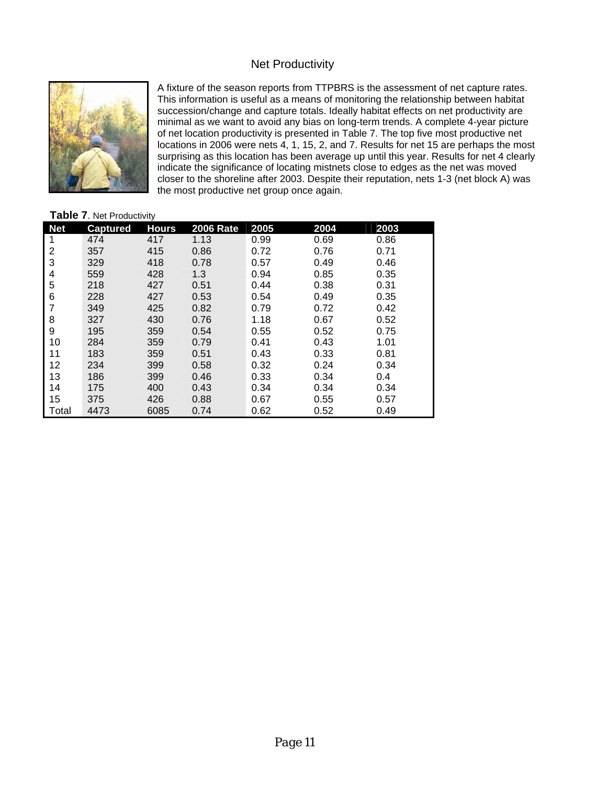### Net Productivity



surprising as this location has been average up until this year. Results for net 4 clearly closer to the shoreline after 2003. Despite their reputation, nets 1-3 (net block A) was the most productive net group once again. A fixture of the season reports from TTPBRS is the assessment of net capture rates. This information is useful as a means of monitoring the relationship between habitat succession/change and capture totals. Ideally habitat effects on net productivity are minimal as we want to avoid any bias on long-term trends. A complete 4-year picture of net location productivity is presented in Table 7. The top five most productive net locations in 2006 were nets 4, 1, 15, 2, and 7. Results for net 15 are perhaps the most indicate the significance of locating mistnets close to edges as the net was moved

#### Table 7. Net Productivity

| <b>Net</b> | <b>Captured</b> | <b>Hours</b> | <b>2006 Rate</b> | 2005 | 2004 | 2003 |
|------------|-----------------|--------------|------------------|------|------|------|
| 1          | 474             | 417          | 1.13             | 0.99 | 0.69 | 0.86 |
| 2          | 357             | 415          | 0.86             | 0.72 | 0.76 | 0.71 |
| 3          | 329             | 418          | 0.78             | 0.57 | 0.49 | 0.46 |
| 4          | 559             | 428          | 1.3              | 0.94 | 0.85 | 0.35 |
| 5          | 218             | 427          | 0.51             | 0.44 | 0.38 | 0.31 |
| 6          | 228             | 427          | 0.53             | 0.54 | 0.49 | 0.35 |
| 7          | 349             | 425          | 0.82             | 0.79 | 0.72 | 0.42 |
| 8          | 327             | 430          | 0.76             | 1.18 | 0.67 | 0.52 |
| 9          | 195             | 359          | 0.54             | 0.55 | 0.52 | 0.75 |
| 10         | 284             | 359          | 0.79             | 0.41 | 0.43 | 1.01 |
| 11         | 183             | 359          | 0.51             | 0.43 | 0.33 | 0.81 |
| 12         | 234             | 399          | 0.58             | 0.32 | 0.24 | 0.34 |
| 13         | 186             | 399          | 0.46             | 0.33 | 0.34 | 0.4  |
| 14         | 175             | 400          | 0.43             | 0.34 | 0.34 | 0.34 |
| 15         | 375             | 426          | 0.88             | 0.67 | 0.55 | 0.57 |
| Total      | 4473            | 6085         | 0.74             | 0.62 | 0.52 | 0.49 |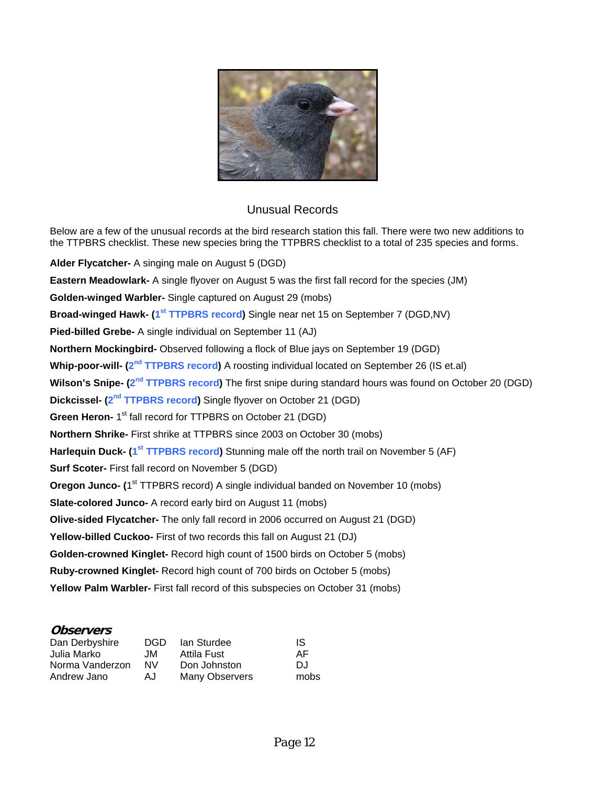

#### Unusual Records

the TTPBRS checklist. These new species bring the TTPBRS checklist to a total of 235 species and forms. Below are a few of the unusual records at the bird research station this fall. There were two new additions to

**Eastern Meadowlark-** A single flyover on August 5 was the first fall record for the species (JM) Broad-winged Hawk- (1<sup>st</sup> TTPBRS record) Single near net 15 on September 7 (DGD,NV) Wilson's Snipe- (2<sup>nd</sup> TTPBRS record) The first snipe during standard hours was found on October 20 (DGD) Dickcissel- (2<sup>nd</sup> TTPBRS record) Single flyover on October 21 (DGD) Harlequin Duck- (1<sup>st</sup> TTPBRS record) Stunning male off the north trail on November 5 (AF) Oregon Junco- (1<sup>st</sup> TTPBRS record) A single individual banded on November 10 (mobs) **Olive-sided Flycatcher-** The only fall record in 2006 occurred on August 21 (DGD) Golden-crowned Kinglet- Record high count of 1500 birds on October 5 (mobs) Yellow Palm Warbler- First fall record of this subspecies on October 31 (mobs) **Alder Flycatcher-** A singing male on August 5 (DGD) **Golden-winged Warbler-** Single captured on August 29 (mobs) **Pied-billed Grebe-** A single individual on September 11 (AJ) **Northern Mockingbird-** Observed following a flock of Blue jays on September 19 (DGD) **Whip-poor-will- (2nd TTPBRS record)** A roosting individual located on September 26 (IS et.al) **Green Heron- 1<sup>st</sup>** fall record for TTPBRS on October 21 (DGD) **Northern Shrike-** First shrike at TTPBRS since 2003 on October 30 (mobs) **Surf Scoter-** First fall record on November 5 (DGD) **Slate-colored Junco-** A record early bird on August 11 (mobs) **Yellow-billed Cuckoo-** First of two records this fall on August 21 (DJ) **Ruby-crowned Kinglet-** Record high count of 700 birds on October 5 (mobs)

#### **Observers**

| Dan Derbyshire  | DGD. | lan Sturdee    | IS.  |
|-----------------|------|----------------|------|
| Julia Marko     | .JM  | Attila Fust    | AF.  |
| Norma Vanderzon | NV.  | Don Johnston   | DJ.  |
| Andrew Jano     | AJ.  | Many Observers | mobs |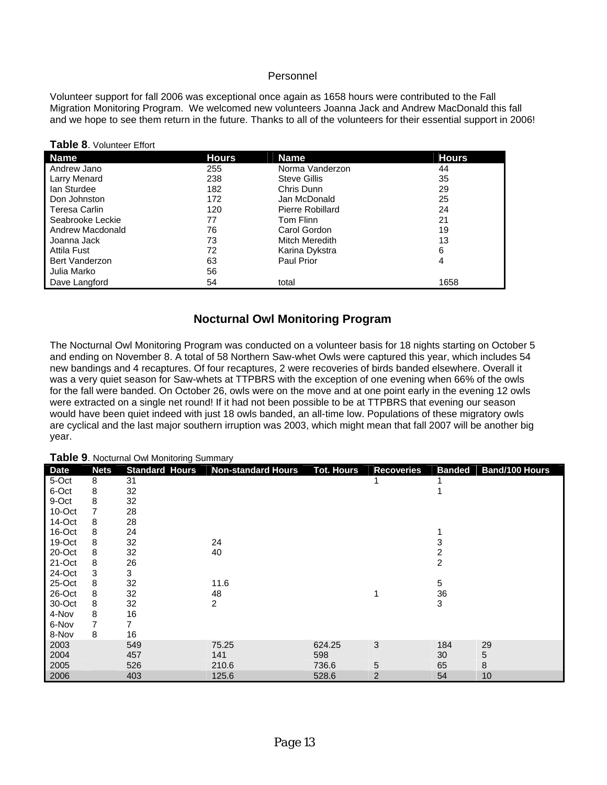#### Personnel

Volunteer support for fall 2006 was exceptional once again as 1658 hours were contributed to the Fall Migration Monitoring Program. We welcomed new volunteers Joanna Jack and Andrew MacDonald this fall and we hope to see them return in the future. Thanks to all of the volunteers for their essential support in 2006!

| <b>Name</b>      | <b>Hours</b> | <b>Name</b>         | <b>Hours</b> |
|------------------|--------------|---------------------|--------------|
| Andrew Jano      | 255          | Norma Vanderzon     | 44           |
| Larry Menard     | 238          | <b>Steve Gillis</b> | 35           |
| lan Sturdee      | 182          | Chris Dunn          | 29           |
| Don Johnston     | 172          | Jan McDonald        | 25           |
| Teresa Carlin    | 120          | Pierre Robillard    | 24           |
| Seabrooke Leckie | 77           | Tom Flinn           | 21           |
| Andrew Macdonald | 76           | Carol Gordon        | 19           |
| Joanna Jack      | 73           | Mitch Meredith      | 13           |
| Attila Fust      | 72           | Karina Dykstra      | 6            |
| Bert Vanderzon   | 63           | <b>Paul Prior</b>   | 4            |
| Julia Marko      | 56           |                     |              |
| Dave Langford    | 54           | total               | 1658         |

#### **Table 8**. Volunteer Effort

#### **Nocturnal Owl Monitoring Program**

The Nocturnal Owl Monitoring Program was conducted on a volunteer basis for 18 nights starting on October 5 and ending on November 8. A total of 58 Northern Saw-whet Owls were captured this year, which includes 54 new bandings and 4 recaptures. Of four recaptures, 2 were recoveries of birds banded elsewhere. Overall it was a very quiet season for Saw-whets at TTPBRS with the exception of one evening when 66% of the owls for the fall were banded. On October 26, owls were on the move and at one point early in the evening 12 owls were extracted on a single net round! If it had not been possible to be at TTPBRS that evening our season would have been quiet indeed with just 18 owls banded, an all-time low. Populations of these migratory owls are cyclical and the last major southern irruption was 2003, which might mean that fall 2007 will be another big year.

|             | Table 9. Nocturnal Owl Monitoring Summary |                       |                    |                   |                   |                |                |  |  |
|-------------|-------------------------------------------|-----------------------|--------------------|-------------------|-------------------|----------------|----------------|--|--|
| <b>Date</b> | <b>Nets</b>                               | <b>Standard Hours</b> | Non-standard Hours | <b>Tot. Hours</b> | <b>Recoveries</b> | <b>Banded</b>  | Band/100 Hours |  |  |
| 5-Oct       | 8                                         | 31                    |                    |                   |                   |                |                |  |  |
| 6-Oct       | 8                                         | 32                    |                    |                   |                   |                |                |  |  |
| 9-Oct       | 8                                         | 32                    |                    |                   |                   |                |                |  |  |
| 10-Oct      | 7                                         | 28                    |                    |                   |                   |                |                |  |  |
| 14-Oct      | 8                                         | 28                    |                    |                   |                   |                |                |  |  |
| 16-Oct      | 8                                         | 24                    |                    |                   |                   |                |                |  |  |
| 19-Oct      | 8                                         | 32                    | 24                 |                   |                   | 3              |                |  |  |
| 20-Oct      | 8                                         | 32                    | 40                 |                   |                   | 2              |                |  |  |
| 21-Oct      | 8                                         | 26                    |                    |                   |                   | $\overline{c}$ |                |  |  |
| 24-Oct      | 3                                         | 3                     |                    |                   |                   |                |                |  |  |
| 25-Oct      | 8                                         | 32                    | 11.6               |                   |                   | 5              |                |  |  |
| 26-Oct      | 8                                         | 32                    | 48                 |                   |                   | 36             |                |  |  |
| 30-Oct      | 8                                         | 32                    | 2                  |                   |                   | 3              |                |  |  |
| 4-Nov       | 8                                         | 16                    |                    |                   |                   |                |                |  |  |
| 6-Nov       | 7                                         | 7                     |                    |                   |                   |                |                |  |  |
| 8-Nov       | 8                                         | 16                    |                    |                   |                   |                |                |  |  |
| 2003        |                                           | 549                   | 75.25              | 624.25            | 3                 | 184            | 29             |  |  |
| 2004        |                                           | 457                   | 141                | 598               |                   | 30             | 5              |  |  |
| 2005        |                                           | 526                   | 210.6              | 736.6             | 5                 | 65             | 8              |  |  |
| 2006        |                                           | 403                   | 125.6              | 528.6             | $\overline{2}$    | 54             | 10             |  |  |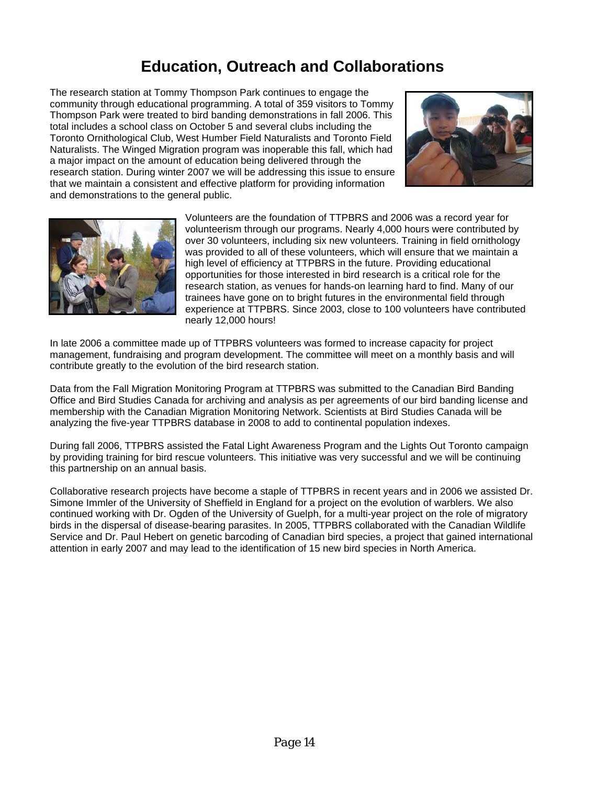## **Education, Outreach and Collaborations**

The research station at Tommy Thompson Park continues to engage the community through educational programming. A total of 359 visitors to Tommy Thompson Park were treated to bird banding demonstrations in fall 2006. This total includes a school class on October 5 and several clubs including the Toronto Ornithological Club, West Humber Field Naturalists and Toronto Field Naturalists. The Winged Migration program was inoperable this fall, which had a major impact on the amount of education being delivered through the research station. During winter 2007 we will be addressing this issue to ensure that we maintain a consistent and effective platform for providing information and demonstrations to the general public.





Volunteers are the foundation of TTPBRS and 2006 was a record year for volunteerism through our programs. Nearly 4,000 hours were contributed by over 30 volunteers, including six new volunteers. Training in field ornithology was provided to all of these volunteers, which will ensure that we maintain a high level of efficiency at TTPBRS in the future. Providing educational opportunities for those interested in bird research is a critical role for the research station, as venues for hands-on learning hard to find. Many of our trainees have gone on to bright futures in the environmental field through experience at TTPBRS. Since 2003, close to 100 volunteers have contributed nearly 12,000 hours!

In late 2006 a committee made up of TTPBRS volunteers was formed to increase capacity for project management, fundraising and program development. The committee will meet on a monthly basis and will contribute greatly to the evolution of the bird research station.

Data from the Fall Migration Monitoring Program at TTPBRS was submitted to the Canadian Bird Banding Office and Bird Studies Canada for archiving and analysis as per agreements of our bird banding license and membership with the Canadian Migration Monitoring Network. Scientists at Bird Studies Canada will be analyzing the five-year TTPBRS database in 2008 to add to continental population indexes.

During fall 2006, TTPBRS assisted the Fatal Light Awareness Program and the Lights Out Toronto campaign by providing training for bird rescue volunteers. This initiative was very successful and we will be continuing this partnership on an annual basis.

Collaborative research projects have become a staple of TTPBRS in recent years and in 2006 we assisted Dr. Simone Immler of the University of Sheffield in England for a project on the evolution of warblers. We also continued working with Dr. Ogden of the University of Guelph, for a multi-year project on the role of migratory birds in the dispersal of disease-bearing parasites. In 2005, TTPBRS collaborated with the Canadian Wildlife Service and Dr. Paul Hebert on genetic barcoding of Canadian bird species, a project that gained international attention in early 2007 and may lead to the identification of 15 new bird species in North America.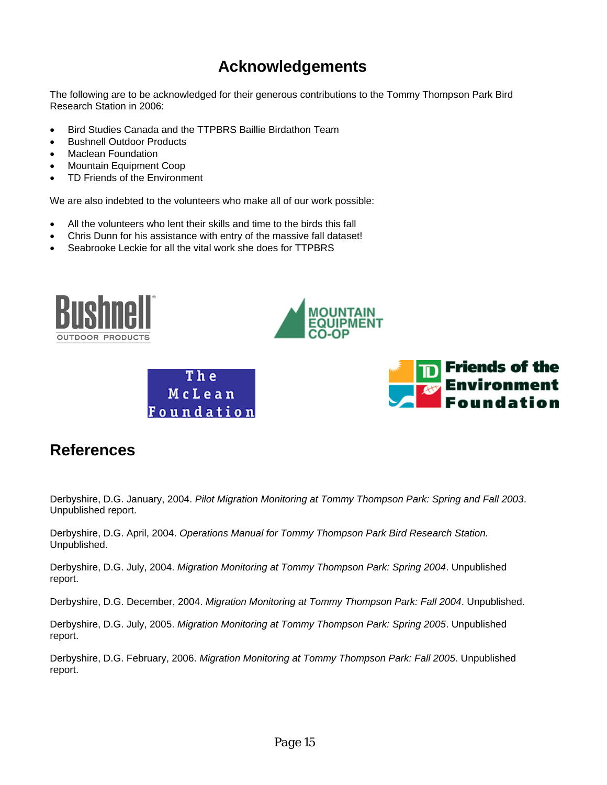## **Acknowledgements**

The following are to be acknowledged for their generous contributions to the Tommy Thompson Park Bird Research Station in 2006:

- Bird Studies Canada and the TTPBRS Baillie Birdathon Team
- Bushnell Outdoor Products
- Maclean Foundation
- Mountain Equipment Coop
- TD Friends of the Environment

We are also indebted to the volunteers who make all of our work possible:

- All the volunteers who lent their skills and time to the birds this fall
- Chris Dunn for his assistance with entry of the massive fall dataset!
- Seabrooke Leckie for all the vital work she does for TTPBRS



### **References**

Derbyshire, D.G. January, 2004. *Pilot Migration Monitoring at Tommy Thompson Park: Spring and Fall 2003*. Unpublished report.

Derbyshire, D.G. April, 2004. *Operations Manual for Tommy Thompson Park Bird Research Station.*  Unpublished.

Derbyshire, D.G. July, 2004. *Migration Monitoring at Tommy Thompson Park: Spring 2004*. Unpublished report.

Derbyshire, D.G. December, 2004. *Migration Monitoring at Tommy Thompson Park: Fall 2004*. Unpublished.

Derbyshire, D.G. July, 2005. *Migration Monitoring at Tommy Thompson Park: Spring 2005*. Unpublished report.

Derbyshire, D.G. February, 2006. *Migration Monitoring at Tommy Thompson Park: Fall 2005*. Unpublished report.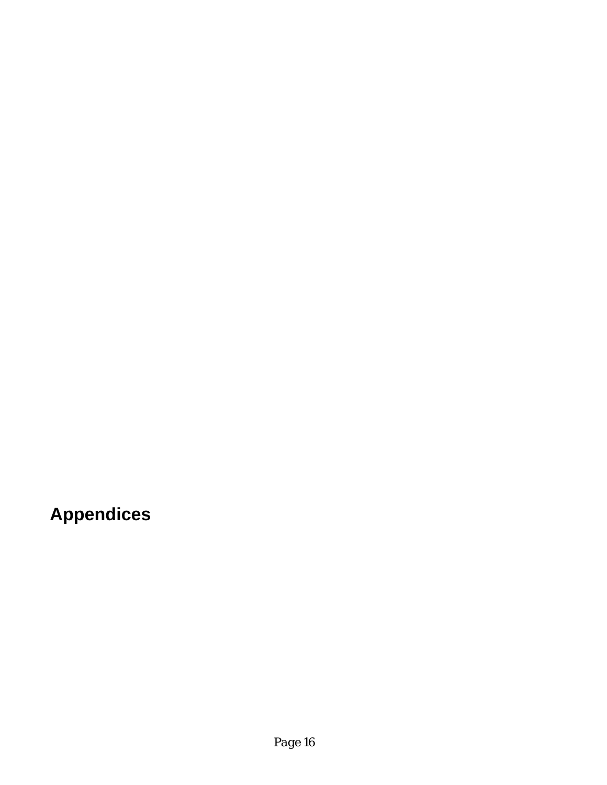**Appendices**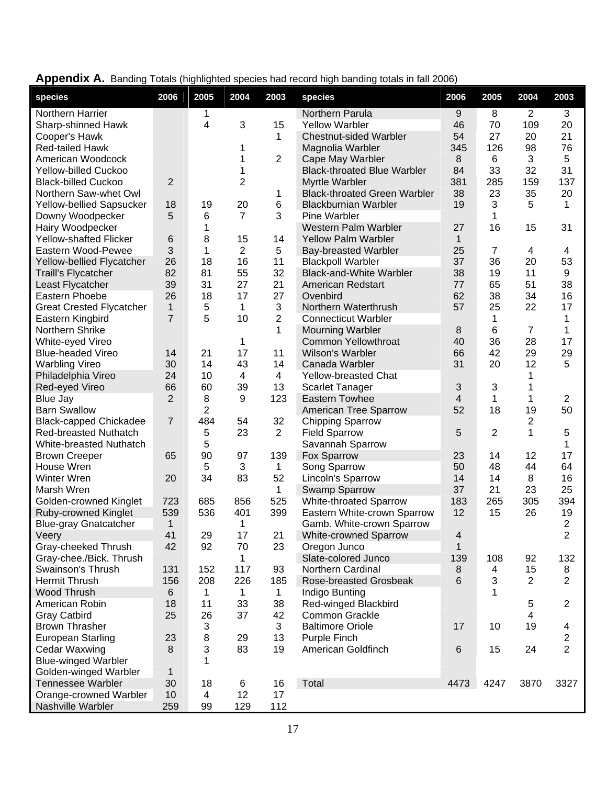| species                         | 2006           | 2005           | 2004           | 2003                    | species                             | 2006           | 2005           | 2004           | 2003                    |
|---------------------------------|----------------|----------------|----------------|-------------------------|-------------------------------------|----------------|----------------|----------------|-------------------------|
| Northern Harrier                |                | 1              |                |                         | Northern Parula                     | 9              | 8              | 2              | 3                       |
| Sharp-shinned Hawk              |                | 4              | 3              | 15                      | <b>Yellow Warbler</b>               | 46             | 70             | 109            | 20                      |
| Cooper's Hawk                   |                |                |                | 1                       | <b>Chestnut-sided Warbler</b>       | 54             | 27             | 20             | 21                      |
| Red-tailed Hawk                 |                |                | 1              |                         | Magnolia Warbler                    | 345            | 126            | 98             | 76                      |
| American Woodcock               |                |                | 1              | $\overline{2}$          | Cape May Warbler                    | 8              | 6              | 3              | 5                       |
| Yellow-billed Cuckoo            |                |                | 1              |                         | <b>Black-throated Blue Warbler</b>  | 84             | 33             | 32             | 31                      |
| <b>Black-billed Cuckoo</b>      | 2              |                | 2              |                         | Myrtle Warbler                      | 381            | 285            | 159            | 137                     |
| Northern Saw-whet Owl           |                |                |                | 1                       | <b>Black-throated Green Warbler</b> | 38             | 23             | 35             | 20                      |
| Yellow-bellied Sapsucker        | 18             | 19             | 20             | 6                       | <b>Blackburnian Warbler</b>         | 19             | 3              | 5              | 1                       |
| Downy Woodpecker                | 5              | 6              | $\overline{7}$ | 3                       | Pine Warbler                        |                | 1              |                |                         |
| Hairy Woodpecker                |                | 1              |                |                         | Western Palm Warbler                | 27             | 16             | 15             | 31                      |
| <b>Yellow-shafted Flicker</b>   | 6              | 8              | 15             | 14                      | <b>Yellow Palm Warbler</b>          | 1              |                |                |                         |
| Eastern Wood-Pewee              | 3              | 1              | $\overline{2}$ | 5                       | <b>Bay-breasted Warbler</b>         | 25             | 7              | 4              | 4                       |
| Yellow-bellied Flycatcher       | 26             | 18             | 16             | 11                      | <b>Blackpoll Warbler</b>            | 37             | 36             | 20             | 53                      |
| <b>Traill's Flycatcher</b>      | 82             | 81             | 55             | 32                      | <b>Black-and-White Warbler</b>      | 38             | 19             | 11             | 9                       |
| Least Flycatcher                | 39             | 31             | 27             | 21                      | American Redstart                   | 77             | 65             | 51             | 38                      |
| Eastern Phoebe                  | 26             | 18             | 17             | 27                      | Ovenbird                            | 62             | 38             | 34             | 16                      |
| <b>Great Crested Flycatcher</b> | $\mathbf{1}$   | 5              | $\mathbf 1$    | 3                       | Northern Waterthrush                | 57             | 25             | 22             | 17                      |
| Eastern Kingbird                | $\overline{7}$ | 5              | 10             | $\overline{2}$          | <b>Connecticut Warbler</b>          |                | 1              |                | 1                       |
| Northern Shrike                 |                |                |                | 1                       | <b>Mourning Warbler</b>             | 8              | 6              | $\overline{7}$ | 1                       |
| White-eyed Vireo                |                |                | 1              |                         | <b>Common Yellowthroat</b>          | 40             | 36             | 28             | 17                      |
| <b>Blue-headed Vireo</b>        | 14             | 21             | 17             | 11                      | Wilson's Warbler                    | 66             | 42             | 29             | 29                      |
| <b>Warbling Vireo</b>           | 30             | 14             | 43             | 14                      | Canada Warbler                      | 31             | 20             | 12             | 5                       |
| Philadelphia Vireo              | 24             | 10             | 4              | $\overline{\mathbf{4}}$ | <b>Yellow-breasted Chat</b>         |                |                | 1              |                         |
| Red-eyed Vireo                  | 66             | 60             | 39             | 13                      | <b>Scarlet Tanager</b>              | 3              | 3              | 1              |                         |
| Blue Jay                        | $\overline{2}$ | 8              | 9              | 123                     | <b>Eastern Towhee</b>               | 4              | 1              | 1              | $\overline{2}$          |
| <b>Barn Swallow</b>             |                | $\overline{2}$ |                |                         | American Tree Sparrow               | 52             | 18             | 19             | 50                      |
| <b>Black-capped Chickadee</b>   | $\overline{7}$ | 484            | 54             | 32                      | <b>Chipping Sparrow</b>             |                |                | 2              |                         |
| <b>Red-breasted Nuthatch</b>    |                | 5              | 23             | $\overline{2}$          | <b>Field Sparrow</b>                | 5              | $\overline{2}$ | 1              | 5                       |
| White-breasted Nuthatch         |                | 5              |                |                         | Savannah Sparrow                    |                |                |                | 1                       |
| <b>Brown Creeper</b>            | 65             | 90             | 97             | 139                     | Fox Sparrow                         | 23             | 14             | 12             | 17                      |
| House Wren                      |                | 5              | 3              | 1                       | Song Sparrow                        | 50             | 48             | 44             | 64                      |
| Winter Wren                     | 20             | 34             | 83             | 52                      | Lincoln's Sparrow                   | 14             | 14             | 8              | 16                      |
| Marsh Wren                      |                |                |                | 1                       | Swamp Sparrow                       | 37             | 21             | 23             | 25                      |
| <b>Golden-crowned Kinglet</b>   | 723            | 685            | 856            | 525                     | White-throated Sparrow              | 183            | 265            | 305            | 394                     |
| Ruby-crowned Kinglet            | 539            | 536            | 401            | 399                     | Eastern White-crown Sparrow         | 12             | 15             | 26             | 19                      |
| <b>Blue-gray Gnatcatcher</b>    | 1              |                | 1              |                         | Gamb. White-crown Sparrow           |                |                |                | $\overline{2}$          |
| Veery                           | 41             | 29             | 17             | 21                      | <b>White-crowned Sparrow</b>        | 4              |                |                | $\overline{2}$          |
| Gray-cheeked Thrush             | 42             | 92             | 70             | 23                      | Oregon Junco                        | 1              |                |                |                         |
| Gray-chee./Bick. Thrush         |                |                | 1              |                         | Slate-colored Junco                 | 139            | 108            | 92             | 132                     |
| Swainson's Thrush               | 131            | 152            | 117            | 93                      | Northern Cardinal                   | 8              | 4              | 15             | 8                       |
| <b>Hermit Thrush</b>            | 156            | 208            | 226            | 185                     | Rose-breasted Grosbeak              | 6              | 3              | 2              | $\overline{2}$          |
| Wood Thrush                     | 6              | 1              | 1              | 1                       | Indigo Bunting                      |                | 1              |                |                         |
| American Robin                  | 18             | 11             | 33             | 38                      | Red-winged Blackbird                |                |                | 5              | $\overline{c}$          |
| <b>Gray Catbird</b>             | 25             | 26             | 37             | 42                      | Common Grackle                      |                |                | $\overline{4}$ |                         |
| <b>Brown Thrasher</b>           |                | 3              |                | 3                       | <b>Baltimore Oriole</b>             | 17             | 10             | 19             | 4                       |
| <b>European Starling</b>        | 23             | 8              | 29             | 13                      | Purple Finch                        |                |                |                | $\overline{\mathbf{c}}$ |
| <b>Cedar Waxwing</b>            | 8              | 3              | 83             | 19                      | American Goldfinch                  | $6\phantom{1}$ | 15             | 24             | $\overline{2}$          |
| <b>Blue-winged Warbler</b>      |                | 1              |                |                         |                                     |                |                |                |                         |
| Golden-winged Warbler           | 1              |                |                |                         |                                     |                |                |                |                         |
| <b>Tennessee Warbler</b>        | 30             | 18             | 6              | 16                      | Total                               | 4473           | 4247           | 3870           | 3327                    |
| Orange-crowned Warbler          | 10             | 4              | 12             | 17                      |                                     |                |                |                |                         |
| Nashville Warbler               | 259            | 99             | 129            | 112                     |                                     |                |                |                |                         |

Appendix A. Banding Totals (highlighted species had record high banding totals in fall 2006)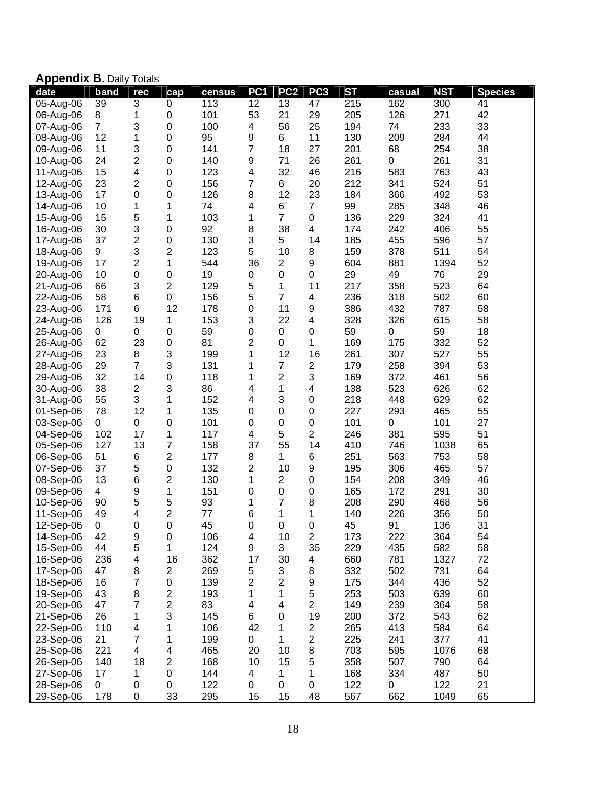|  |  | <b>Appendix B. Daily Totals</b> |
|--|--|---------------------------------|
|--|--|---------------------------------|

|           | <b>Appellula D.</b> Dally Tulais |                         |                         |        |                         |                  |                         |           |        |            |                |
|-----------|----------------------------------|-------------------------|-------------------------|--------|-------------------------|------------------|-------------------------|-----------|--------|------------|----------------|
| date      | band                             | rec                     | cap                     | census | PC <sub>1</sub>         | PC <sub>2</sub>  | PC <sub>3</sub>         | <b>ST</b> | casual | <b>NST</b> | <b>Species</b> |
| 05-Aug-06 | 39                               | $\overline{3}$          | 0                       | 113    | 12                      | 13               | 47                      | 215       | 162    | 300        | 41             |
| 06-Aug-06 | 8                                | 1                       | $\boldsymbol{0}$        | 101    | 53                      | 21               | 29                      | 205       | 126    | 271        | 42             |
| 07-Aug-06 | $\overline{7}$                   | 3                       | $\boldsymbol{0}$        | 100    | 4                       | 56               | 25                      | 194       | 74     | 233        | 33             |
| 08-Aug-06 | 12                               | 1                       | $\mathbf 0$             | 95     | $\boldsymbol{9}$        | 6                | 11                      | 130       | 209    | 284        | 44             |
| 09-Aug-06 | 11                               | 3                       | $\mathbf 0$             | 141    | 7                       | 18               | 27                      | 201       | 68     | 254        | 38             |
| 10-Aug-06 | 24                               | $\overline{c}$          | $\boldsymbol{0}$        | 140    | 9                       | 71               | 26                      | 261       | 0      | 261        | 31             |
| 11-Aug-06 | 15                               | $\overline{\mathbf{4}}$ | $\mathbf 0$             | 123    | 4                       | 32               | 46                      | 216       | 583    | 763        | 43             |
| 12-Aug-06 | 23                               | $\overline{2}$          | $\mathbf 0$             | 156    | 7                       | 6                | 20                      | 212       | 341    | 524        | 51             |
| 13-Aug-06 | 17                               | 0                       | $\mathbf 0$             | 126    | 8                       | 12               | 23                      | 184       | 366    | 492        | 53             |
| 14-Aug-06 | 10                               | 1                       | 1                       | 74     | $\overline{\mathbf{4}}$ | 6                | $\overline{7}$          | 99        | 285    | 348        | 46             |
| 15-Aug-06 | 15                               | 5                       | $\mathbf 1$             | 103    | 1                       | $\overline{7}$   | $\boldsymbol{0}$        | 136       | 229    | 324        | 41             |
| 16-Aug-06 | 30                               | 3                       | $\boldsymbol{0}$        | 92     | 8                       | 38               | $\overline{\mathbf{4}}$ | 174       | 242    | 406        | 55             |
| 17-Aug-06 | 37                               | $\overline{c}$          | $\mathbf 0$             | 130    | 3                       | 5                | 14                      | 185       | 455    | 596        | 57             |
| 18-Aug-06 | 9                                | 3                       | $\overline{c}$          | 123    | 5                       | 10               | 8                       | 159       | 378    | 511        | 54             |
| 19-Aug-06 | 17                               | $\overline{\mathbf{c}}$ | 1                       | 544    | 36                      | $\boldsymbol{2}$ | $\boldsymbol{9}$        | 604       | 881    | 1394       | 52             |
| 20-Aug-06 | 10                               | 0                       | $\boldsymbol{0}$        | 19     | $\boldsymbol{0}$        | 0                | $\boldsymbol{0}$        | 29        | 49     | 76         | 29             |
| 21-Aug-06 | 66                               | 3                       | $\overline{c}$          | 129    | 5                       | 1                | 11                      | 217       | 358    | 523        | 64             |
| 22-Aug-06 | 58                               | 6                       | $\pmb{0}$               | 156    | 5                       | $\overline{7}$   | $\overline{\mathbf{4}}$ | 236       | 318    | 502        | 60             |
| 23-Aug-06 | 171                              | 6                       | 12                      | 178    | $\boldsymbol{0}$        | 11               | $\boldsymbol{9}$        | 386       | 432    | 787        | 58             |
| 24-Aug-06 | 126                              | 19                      | 1                       | 153    | 3                       | 22               | 4                       | 328       | 326    | 615        | 58             |
| 25-Aug-06 | 0                                | 0                       | $\mathbf 0$             | 59     | $\boldsymbol{0}$        | $\pmb{0}$        | $\boldsymbol{0}$        | 59        | 0      | 59         | 18             |
| 26-Aug-06 | 62                               | 23                      | $\mathbf 0$             | 81     | $\overline{2}$          | $\mathbf 0$      | 1                       | 169       | 175    | 332        | 52             |
| 27-Aug-06 | 23                               | 8                       | 3                       | 199    | 1                       | 12               | 16                      | 261       | 307    | 527        | 55             |
| 28-Aug-06 | 29                               | $\overline{7}$          | 3                       | 131    | 1                       | $\overline{7}$   | $\boldsymbol{2}$        | 179       | 258    | 394        | 53             |
| 29-Aug-06 | 32                               | 14                      | $\mathbf 0$             | 118    | 1                       | $\overline{2}$   | 3                       | 169       | 372    | 461        | 56             |
| 30-Aug-06 | 38                               | 2                       | 3                       | 86     | 4                       | 1                | 4                       | 138       | 523    | 626        | 62             |
| 31-Aug-06 | 55                               | 3                       | 1                       | 152    | 4                       | 3                | $\boldsymbol{0}$        | 218       | 448    | 629        | 62             |
| 01-Sep-06 | 78                               | 12                      | 1                       | 135    | 0                       | 0                | $\mathbf 0$             | 227       | 293    | 465        | 55             |
| 03-Sep-06 | $\pmb{0}$                        | 0                       | $\mathbf 0$             | 101    | 0                       | 0                | $\boldsymbol{0}$        | 101       | 0      | 101        | 27             |
| 04-Sep-06 | 102                              | 17                      | 1                       | 117    | 4                       | 5                | 2                       | 246       | 381    | 595        | 51             |
| 05-Sep-06 | 127                              | 13                      | 7                       | 158    | 37                      | 55               | 14                      | 410       | 746    | 1038       | 65             |
| 06-Sep-06 | 51                               | 6                       | $\overline{c}$          | 177    | 8                       | 1                | 6                       | 251       | 563    | 753        | 58             |
| 07-Sep-06 | 37                               | 5                       | $\boldsymbol{0}$        | 132    | 2                       | 10               | $\boldsymbol{9}$        | 195       | 306    | 465        | 57             |
| 08-Sep-06 | 13                               | 6                       | $\overline{c}$          | 130    | $\mathbf{1}$            | $\overline{2}$   | $\boldsymbol{0}$        | 154       | 208    | 349        | 46             |
| 09-Sep-06 | $\overline{4}$                   | 9                       | $\mathbf{1}$            | 151    | $\boldsymbol{0}$        | $\mathbf 0$      | $\boldsymbol{0}$        | 165       | 172    | 291        | 30             |
| 10-Sep-06 | 90                               | 5                       | 5                       | 93     | 1                       | $\overline{7}$   | 8                       | 208       | 290    | 468        | 56             |
| 11-Sep-06 | 49                               | $\overline{\mathbf{4}}$ | $\overline{c}$          | 77     | 6                       | 1                | 1                       | 140       | 226    | 356        | 50             |
| 12-Sep-06 | $\mathbf 0$                      | 0                       | 0                       | 45     | 0                       | $\mathbf 0$      | $\mathbf 0$             | 45        | 91     | 136        | 31             |
| 14-Sep-06 | 42                               | 9                       | $\mathbf 0$             | 106    | 4                       | 10               | $\mathbf 2$             | 173       | 222    | 364        | 54             |
| 15-Sep-06 | 44                               | 5                       | 1                       | 124    | 9                       | 3                | 35                      | 229       | 435    | 582        | 58             |
| 16-Sep-06 | 236                              | 4                       | 16                      | 362    | 17                      | 30               | 4                       | 660       | 781    | 1327       | 72             |
| 17-Sep-06 | 47                               | 8                       | $\overline{\mathbf{c}}$ | 269    | 5                       | 3                | 8                       | 332       | 502    | 731        | 64             |
| 18-Sep-06 | 16                               | 7                       | $\pmb{0}$               | 139    | 2                       | $\overline{2}$   | 9                       | 175       | 344    | 436        | 52             |
| 19-Sep-06 | 43                               | 8                       | $\overline{\mathbf{c}}$ | 193    | 1                       | 1                | $\mathbf 5$             | 253       | 503    | 639        | 60             |
| 20-Sep-06 | 47                               | 7                       | $\overline{\mathbf{c}}$ | 83     | 4                       | 4                | $\overline{c}$          | 149       | 239    | 364        | 58             |
| 21-Sep-06 | 26                               | 1                       | 3                       | 145    | 6                       | $\mathbf 0$      | 19                      | 200       | 372    | 543        | 62             |
| 22-Sep-06 | 110                              | 4                       | 1                       | 106    | 42                      | 1                | $\boldsymbol{2}$        | 265       | 413    | 584        | 64             |
| 23-Sep-06 | 21                               | 7                       | 1                       | 199    | 0                       | 1                | $\overline{2}$          | 225       | 241    | 377        | 41             |
| 25-Sep-06 | 221                              | 4                       | 4                       | 465    | 20                      | 10               | $\bf8$                  | 703       | 595    | 1076       | 68             |
| 26-Sep-06 | 140                              | 18                      | $\overline{c}$          | 168    | 10                      | 15               | $\sqrt{5}$              | 358       | 507    | 790        | 64             |
| 27-Sep-06 | 17                               | 1                       | $\mathbf 0$             | 144    | 4                       | 1                | 1                       | 168       | 334    | 487        | 50             |
| 28-Sep-06 | $\pmb{0}$                        | 0                       | 0                       | 122    | 0                       | $\pmb{0}$        | $\boldsymbol{0}$        | 122       | 0      | 122        | 21             |
| 29-Sep-06 | 178                              | 0                       | 33                      | 295    | 15                      | 15               | 48                      | 567       | 662    | 1049       | 65             |